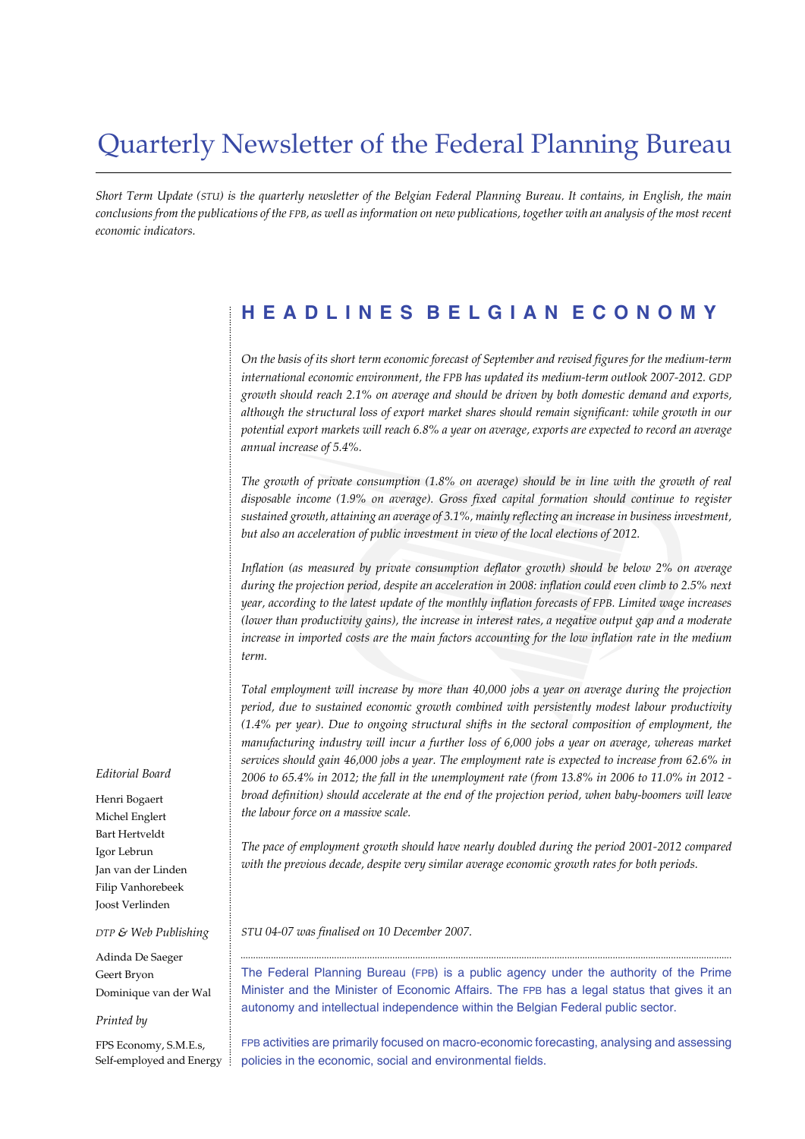# Quarterly Newsletter of the Federal Planning Bureau

*Short Term Update (STU) is the quarterly newsletter of the Belgian Federal Planning Bureau. It contains, in English, the main conclusions from the publications of the FPB, as well as information on new publications, together with an analysis of the most recent economic indicators.*

# **HEADLINES BELGIAN ECONOMY**

*On the basis of its short term economic forecast of September and revised figures for the medium-term international economic environment, the FPB has updated its medium-term outlook 2007-2012. GDP growth should reach 2.1% on average and should be driven by both domestic demand and exports, although the structural loss of export market shares should remain significant: while growth in our potential export markets will reach 6.8% a year on average, exports are expected to record an average annual increase of 5.4%.*

*The growth of private consumption (1.8% on average) should be in line with the growth of real disposable income (1.9% on average). Gross fixed capital formation should continue to register sustained growth, attaining an average of 3.1%, mainly reflecting an increase in business investment, but also an acceleration of public investment in view of the local elections of 2012.*

*Inflation (as measured by private consumption deflator growth) should be below 2% on average during the projection period, despite an acceleration in 2008: inflation could even climb to 2.5% next year, according to the latest update of the monthly inflation forecasts of FPB. Limited wage increases (lower than productivity gains), the increase in interest rates, a negative output gap and a moderate increase in imported costs are the main factors accounting for the low inflation rate in the medium term.*

*Total employment will increase by more than 40,000 jobs a year on average during the projection period, due to sustained economic growth combined with persistently modest labour productivity (1.4% per year). Due to ongoing structural shifts in the sectoral composition of employment, the manufacturing industry will incur a further loss of 6,000 jobs a year on average, whereas market services should gain 46,000 jobs a year. The employment rate is expected to increase from 62.6% in 2006 to 65.4% in 2012; the fall in the unemployment rate (from 13.8% in 2006 to 11.0% in 2012 broad definition) should accelerate at the end of the projection period, when baby-boomers will leave the labour force on a massive scale.*

*The pace of employment growth should have nearly doubled during the period 2001-2012 compared with the previous decade, despite very similar average economic growth rates for both periods.*

*STU 04-07 was finalised on 10 December 2007.*

The Federal Planning Bureau (FPB) is a public agency under the authority of the Prime Minister and the Minister of Economic Affairs. The FPB has a legal status that gives it an autonomy and intellectual independence within the Belgian Federal public sector.

..................................................................................................................................................................................................

FPB activities are primarily focused on macro-economic forecasting, analysing and assessing policies in the economic, social and environmental fields.

#### *Editorial Board*

Henri Bogaert Michel Englert Bart Hertveldt Igor Lebrun Jan van der Linden Filip Vanhorebeek Joost Verlinden

#### *DTP & Web Publishing*

Adinda De Saeger Geert Bryon Dominique van der Wal

#### *Printed by*

FPS Economy, S.M.E.s, Self-employed and Energy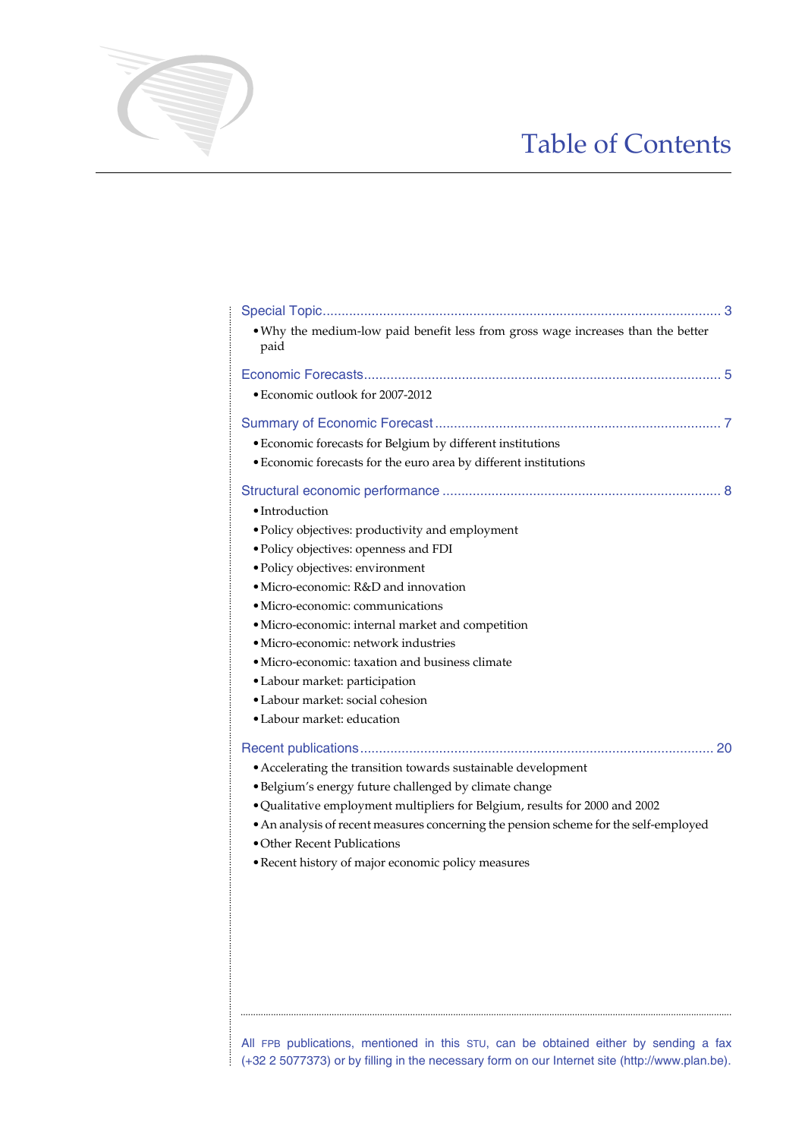# Table of Contents

| . Why the medium-low paid benefit less from gross wage increases than the better<br>paid                            |
|---------------------------------------------------------------------------------------------------------------------|
|                                                                                                                     |
| • Economic outlook for 2007-2012                                                                                    |
|                                                                                                                     |
| • Economic forecasts for Belgium by different institutions                                                          |
| • Economic forecasts for the euro area by different institutions                                                    |
|                                                                                                                     |
| • Introduction                                                                                                      |
| • Policy objectives: productivity and employment                                                                    |
| · Policy objectives: openness and FDI                                                                               |
| · Policy objectives: environment                                                                                    |
| • Micro-economic: R&D and innovation                                                                                |
| • Micro-economic: communications                                                                                    |
| · Micro-economic: internal market and competition                                                                   |
| • Micro-economic: network industries                                                                                |
| • Micro-economic: taxation and business climate                                                                     |
| • Labour market: participation                                                                                      |
| · Labour market: social cohesion                                                                                    |
| • Labour market: education                                                                                          |
|                                                                                                                     |
| • Accelerating the transition towards sustainable development                                                       |
| · Belgium's energy future challenged by climate change                                                              |
| . Qualitative employment multipliers for Belgium, results for 2000 and 2002                                         |
| • An analysis of recent measures concerning the pension scheme for the self-employed<br>• Other Recent Publications |
| · Recent history of major economic policy measures                                                                  |
|                                                                                                                     |
|                                                                                                                     |
|                                                                                                                     |
|                                                                                                                     |
|                                                                                                                     |
|                                                                                                                     |
|                                                                                                                     |
|                                                                                                                     |

All FPB publications, mentioned in this STU, can be obtained either by sending a fax  $\frac{1}{2}$  (+32 2 5077373) or by filling in the necessary form on our Internet site (http://www.plan.be).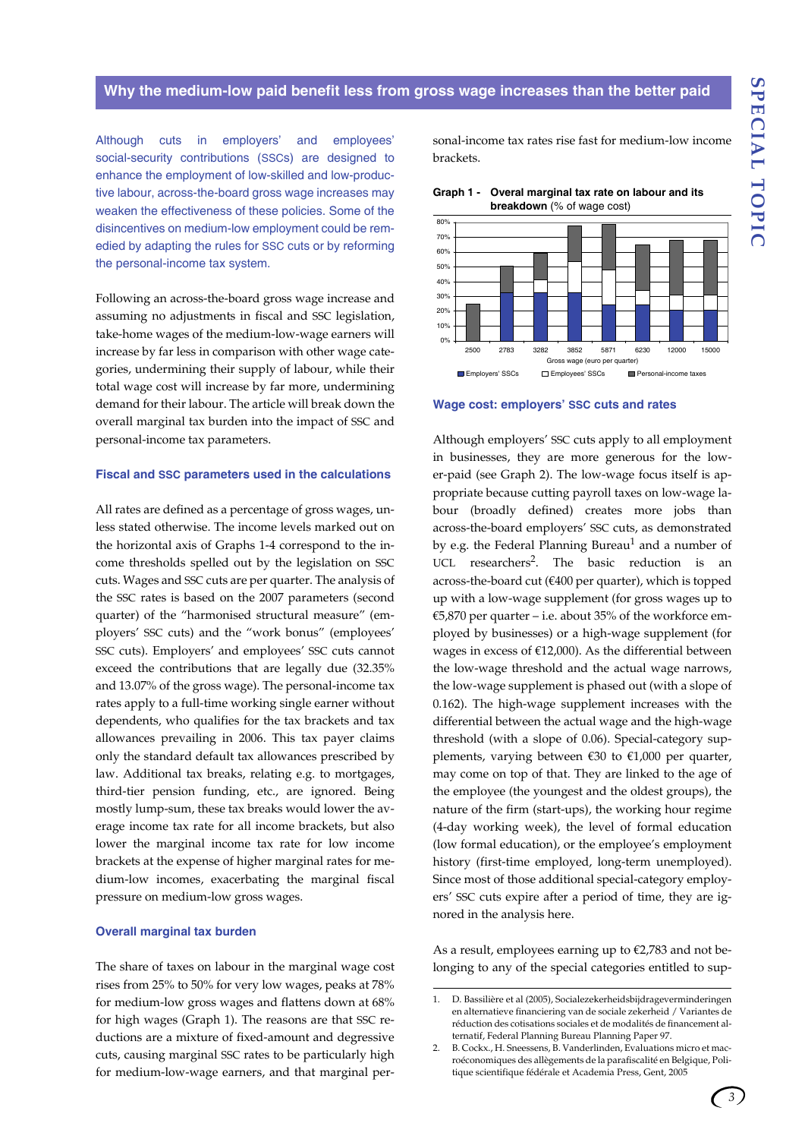### **Why the medium-low paid benefit less from gross wage increases than the better paid**

Although cuts in employers' and employees' social-security contributions (SSCs) are designed to enhance the employment of low-skilled and low-productive labour, across-the-board gross wage increases may weaken the effectiveness of these policies. Some of the disincentives on medium-low employment could be remedied by adapting the rules for SSC cuts or by reforming the personal-income tax system.

Following an across-the-board gross wage increase and assuming no adjustments in fiscal and SSC legislation, take-home wages of the medium-low-wage earners will increase by far less in comparison with other wage categories, undermining their supply of labour, while their total wage cost will increase by far more, undermining demand for their labour. The article will break down the overall marginal tax burden into the impact of SSC and personal-income tax parameters.

#### **Fiscal and SSC parameters used in the calculations**

All rates are defined as a percentage of gross wages, unless stated otherwise. The income levels marked out on the horizontal axis of Graphs 1-4 correspond to the income thresholds spelled out by the legislation on SSC cuts. Wages and SSC cuts are per quarter. The analysis of the SSC rates is based on the 2007 parameters (second quarter) of the "harmonised structural measure" (employers' SSC cuts) and the "work bonus" (employees' SSC cuts). Employers' and employees' SSC cuts cannot exceed the contributions that are legally due (32.35% and 13.07% of the gross wage). The personal-income tax rates apply to a full-time working single earner without dependents, who qualifies for the tax brackets and tax allowances prevailing in 2006. This tax payer claims only the standard default tax allowances prescribed by law. Additional tax breaks, relating e.g. to mortgages, third-tier pension funding, etc., are ignored. Being mostly lump-sum, these tax breaks would lower the average income tax rate for all income brackets, but also lower the marginal income tax rate for low income brackets at the expense of higher marginal rates for medium-low incomes, exacerbating the marginal fiscal pressure on medium-low gross wages.

#### **Overall marginal tax burden**

The share of taxes on labour in the marginal wage cost rises from 25% to 50% for very low wages, peaks at 78% for medium-low gross wages and flattens down at 68% for high wages (Graph 1). The reasons are that SSC reductions are a mixture of fixed-amount and degressive cuts, causing marginal SSC rates to be particularly high for medium-low-wage earners, and that marginal personal-income tax rates rise fast for medium-low income brackets.





**Wage cost: employers' SSC cuts and rates** 

Although employers' SSC cuts apply to all employment in businesses, they are more generous for the lower-paid (see Graph 2). The low-wage focus itself is appropriate because cutting payroll taxes on low-wage labour (broadly defined) creates more jobs than across-the-board employers' SSC cuts, as demonstrated by e.g. the Federal Planning Bureau<sup>1</sup> and a number of UCL researchers<sup>2</sup>. The basic reduction is an across-the-board cut (€400 per quarter), which is topped up with a low-wage supplement (for gross wages up to €5,870 per quarter – i.e. about 35% of the workforce employed by businesses) or a high-wage supplement (for wages in excess of  $£12,000$ ). As the differential between the low-wage threshold and the actual wage narrows, the low-wage supplement is phased out (with a slope of 0.162). The high-wage supplement increases with the differential between the actual wage and the high-wage threshold (with a slope of 0.06). Special-category supplements, varying between  $\epsilon$ 30 to  $\epsilon$ 1,000 per quarter, may come on top of that. They are linked to the age of the employee (the youngest and the oldest groups), the nature of the firm (start-ups), the working hour regime (4-day working week), the level of formal education (low formal education), or the employee's employment history (first-time employed, long-term unemployed). Since most of those additional special-category employers' SSC cuts expire after a period of time, they are ignored in the analysis here.

As a result, employees earning up to €2,783 and not belonging to any of the special categories entitled to sup-

<sup>1.</sup> D. Bassilière et al (2005), Socialezekerheidsbijdrageverminderingen en alternatieve financiering van de sociale zekerheid / Variantes de réduction des cotisations sociales et de modalités de financement alternatif, Federal Planning Bureau Planning Paper 97.

<sup>2.</sup> B. Cockx., H. Sneessens, B. Vanderlinden, Evaluations micro et macroéconomiques des allègements de la parafiscalité en Belgique, Politique scientifique fédérale et Academia Press, Gent, 2005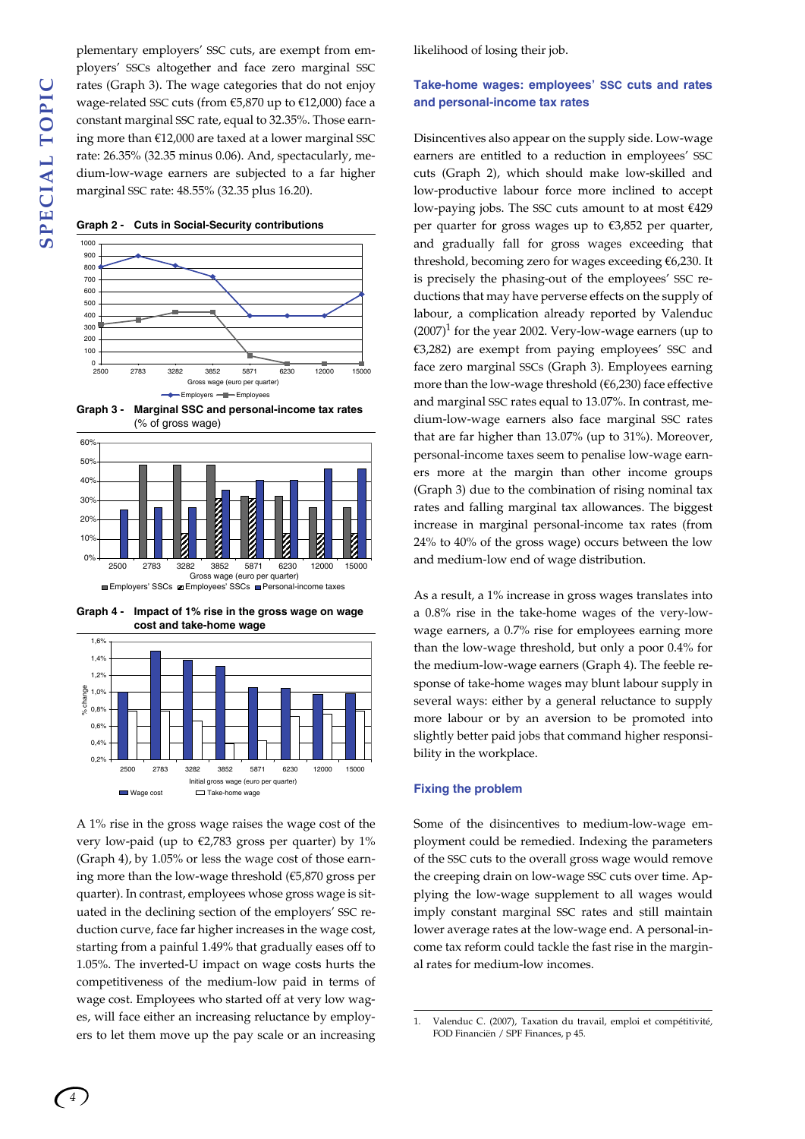**SPECIAL TOPIC SPECIAL TOPIC**

plementary employers' SSC cuts, are exempt from employers' SSCs altogether and face zero marginal SSC rates (Graph 3). The wage categories that do not enjoy wage-related SSC cuts (from €5,870 up to €12,000) face a constant marginal SSC rate, equal to 32.35%. Those earning more than €12,000 are taxed at a lower marginal SSC rate: 26.35% (32.35 minus 0.06). And, spectacularly, medium-low-wage earners are subjected to a far higher marginal SSC rate: 48.55% (32.35 plus 16.20).













A 1% rise in the gross wage raises the wage cost of the very low-paid (up to  $\epsilon$ 2,783 gross per quarter) by 1% (Graph 4), by 1.05% or less the wage cost of those earning more than the low-wage threshold (€5,870 gross per quarter). In contrast, employees whose gross wage is situated in the declining section of the employers' SSC reduction curve, face far higher increases in the wage cost, starting from a painful 1.49% that gradually eases off to 1.05%. The inverted-U impact on wage costs hurts the competitiveness of the medium-low paid in terms of wage cost. Employees who started off at very low wages, will face either an increasing reluctance by employers to let them move up the pay scale or an increasing likelihood of losing their job.

# **Take-home wages: employees' SSC cuts and rates and personal-income tax rates**

Disincentives also appear on the supply side. Low-wage earners are entitled to a reduction in employees' SSC cuts (Graph 2), which should make low-skilled and low-productive labour force more inclined to accept low-paying jobs. The SSC cuts amount to at most  $£429$ per quarter for gross wages up to €3,852 per quarter, and gradually fall for gross wages exceeding that threshold, becoming zero for wages exceeding €6,230. It is precisely the phasing-out of the employees' SSC reductions that may have perverse effects on the supply of labour, a complication already reported by Valenduc  $(2007)^1$  for the year 2002. Very-low-wage earners (up to €3,282) are exempt from paying employees' SSC and face zero marginal SSCs (Graph 3). Employees earning more than the low-wage threshold (€6,230) face effective and marginal SSC rates equal to 13.07%. In contrast, medium-low-wage earners also face marginal SSC rates that are far higher than 13.07% (up to 31%). Moreover, personal-income taxes seem to penalise low-wage earners more at the margin than other income groups (Graph 3) due to the combination of rising nominal tax rates and falling marginal tax allowances. The biggest increase in marginal personal-income tax rates (from 24% to 40% of the gross wage) occurs between the low and medium-low end of wage distribution.

As a result, a 1% increase in gross wages translates into a 0.8% rise in the take-home wages of the very-lowwage earners, a 0.7% rise for employees earning more than the low-wage threshold, but only a poor 0.4% for the medium-low-wage earners (Graph 4). The feeble response of take-home wages may blunt labour supply in several ways: either by a general reluctance to supply more labour or by an aversion to be promoted into slightly better paid jobs that command higher responsibility in the workplace.

### **Fixing the problem**

Some of the disincentives to medium-low-wage employment could be remedied. Indexing the parameters of the SSC cuts to the overall gross wage would remove the creeping drain on low-wage SSC cuts over time. Applying the low-wage supplement to all wages would imply constant marginal SSC rates and still maintain lower average rates at the low-wage end. A personal-income tax reform could tackle the fast rise in the marginal rates for medium-low incomes.

<sup>1.</sup> Valenduc C. (2007), Taxation du travail, emploi et compétitivité, FOD Financiën / SPF Finances, p 45.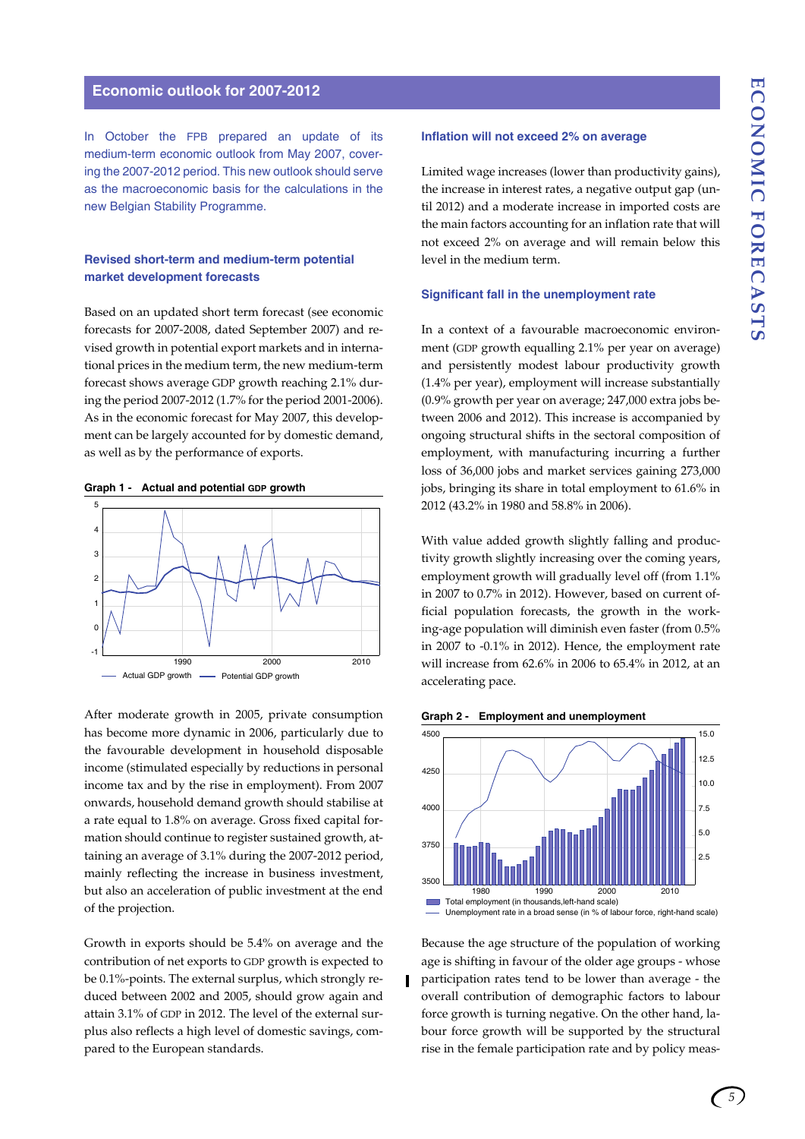# **Economic outlook for 2007-2012**

In October the FPB prepared an update of its medium-term economic outlook from May 2007, covering the 2007-2012 period. This new outlook should serve as the macroeconomic basis for the calculations in the new Belgian Stability Programme.

# **Revised short-term and medium-term potential market development forecasts**

Based on an updated short term forecast (see economic forecasts for 2007-2008, dated September 2007) and revised growth in potential export markets and in international prices in the medium term, the new medium-term forecast shows average GDP growth reaching 2.1% during the period 2007-2012 (1.7% for the period 2001-2006). As in the economic forecast for May 2007, this development can be largely accounted for by domestic demand, as well as by the performance of exports.

# **Graph 1 - Actual and potential GDP growth**



After moderate growth in 2005, private consumption has become more dynamic in 2006, particularly due to the favourable development in household disposable income (stimulated especially by reductions in personal income tax and by the rise in employment). From 2007 onwards, household demand growth should stabilise at a rate equal to 1.8% on average. Gross fixed capital formation should continue to register sustained growth, attaining an average of 3.1% during the 2007-2012 period, mainly reflecting the increase in business investment, but also an acceleration of public investment at the end of the projection.

Growth in exports should be 5.4% on average and the contribution of net exports to GDP growth is expected to be 0.1%-points. The external surplus, which strongly reduced between 2002 and 2005, should grow again and attain 3.1% of GDP in 2012. The level of the external surplus also reflects a high level of domestic savings, compared to the European standards.

## **Inflation will not exceed 2% on average**

Limited wage increases (lower than productivity gains), the increase in interest rates, a negative output gap (until 2012) and a moderate increase in imported costs are the main factors accounting for an inflation rate that will not exceed 2% on average and will remain below this level in the medium term.

#### **Significant fall in the unemployment rate**

In a context of a favourable macroeconomic environment (GDP growth equalling 2.1% per year on average) and persistently modest labour productivity growth (1.4% per year), employment will increase substantially (0.9% growth per year on average; 247,000 extra jobs between 2006 and 2012). This increase is accompanied by ongoing structural shifts in the sectoral composition of employment, with manufacturing incurring a further loss of 36,000 jobs and market services gaining 273,000 jobs, bringing its share in total employment to 61.6% in 2012 (43.2% in 1980 and 58.8% in 2006).

With value added growth slightly falling and productivity growth slightly increasing over the coming years, employment growth will gradually level off (from 1.1% in 2007 to 0.7% in 2012). However, based on current official population forecasts, the growth in the working-age population will diminish even faster (from 0.5% in 2007 to -0.1% in 2012). Hence, the employment rate will increase from 62.6% in 2006 to 65.4% in 2012, at an accelerating pace.

**Graph 2 - Employment and unemployment** 



Because the age structure of the population of working age is shifting in favour of the older age groups - whose participation rates tend to be lower than average - the overall contribution of demographic factors to labour force growth is turning negative. On the other hand, labour force growth will be supported by the structural rise in the female participation rate and by policy meas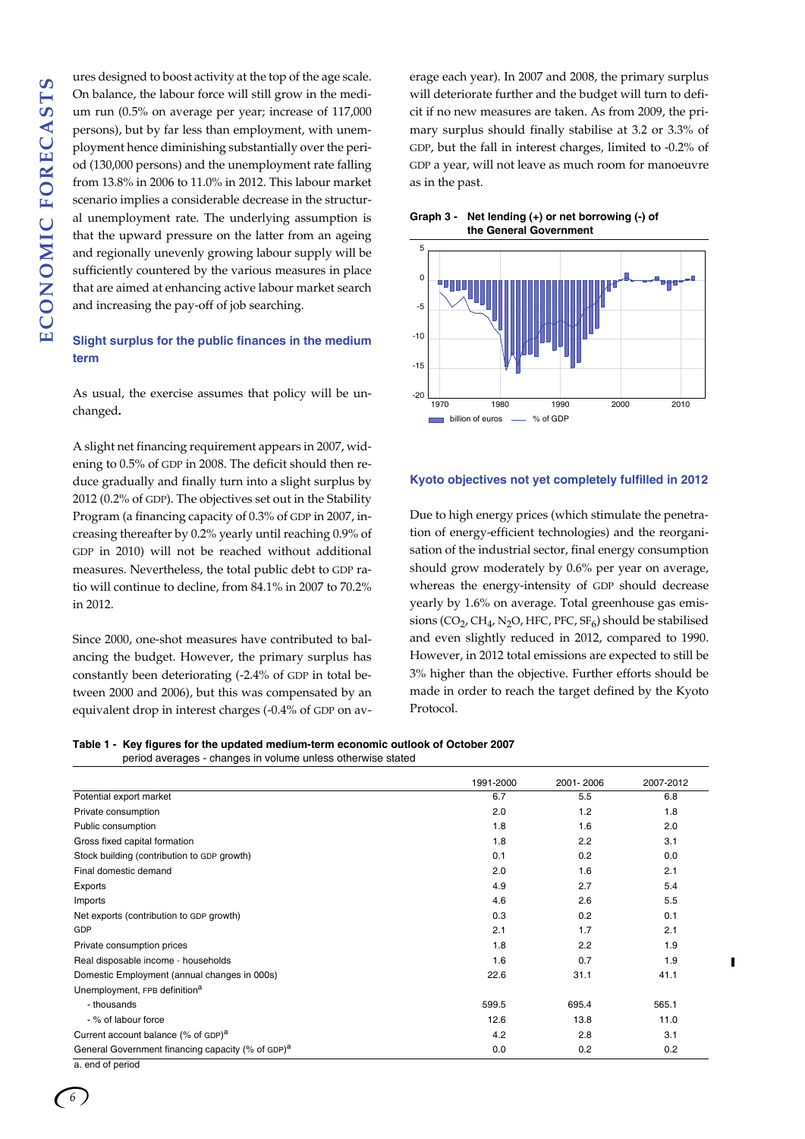ures designed to boost activity at the top of the age scale. On balance, the labour force will still grow in the medium run (0.5% on average per year; increase of 117,000 persons), but by far less than employment, with unemployment hence diminishing substantially over the period (130,000 persons) and the unemployment rate falling from 13.8% in 2006 to 11.0% in 2012. This labour market scenario implies a considerable decrease in the structural unemployment rate. The underlying assumption is that the upward pressure on the latter from an ageing and regionally unevenly growing labour supply will be sufficiently countered by the various measures in place that are aimed at enhancing active labour market search and increasing the pay-off of job searching.

# **Slight surplus for the public finances in the medium term**

As usual, the exercise assumes that policy will be unchanged**.** 

A slight net financing requirement appears in 2007, widening to 0.5% of GDP in 2008. The deficit should then reduce gradually and finally turn into a slight surplus by 2012 (0.2% of GDP). The objectives set out in the Stability Program (a financing capacity of 0.3% of GDP in 2007, increasing thereafter by 0.2% yearly until reaching 0.9% of GDP in 2010) will not be reached without additional measures. Nevertheless, the total public debt to GDP ratio will continue to decline, from 84.1% in 2007 to 70.2% in 2012.

Since 2000, one-shot measures have contributed to balancing the budget. However, the primary surplus has constantly been deteriorating (-2.4% of GDP in total between 2000 and 2006), but this was compensated by an equivalent drop in interest charges (-0.4% of GDP on av-

erage each year). In 2007 and 2008, the primary surplus will deteriorate further and the budget will turn to deficit if no new measures are taken. As from 2009, the primary surplus should finally stabilise at 3.2 or 3.3% of GDP, but the fall in interest charges, limited to -0.2% of GDP a year, will not leave as much room for manoeuvre as in the past.





### **Kyoto objectives not yet completely fulfilled in 2012**

Due to high energy prices (which stimulate the penetration of energy-efficient technologies) and the reorganisation of the industrial sector, final energy consumption should grow moderately by 0.6% per year on average, whereas the energy-intensity of GDP should decrease yearly by 1.6% on average. Total greenhouse gas emissions (CO<sub>2</sub>, CH<sub>4</sub>, N<sub>2</sub>O, HFC, PFC, SF<sub>6</sub>) should be stabilised and even slightly reduced in 2012, compared to 1990. However, in 2012 total emissions are expected to still be 3% higher than the objective. Further efforts should be made in order to reach the target defined by the Kyoto Protocol.

| Table 1 - Key figures for the updated medium-term economic outlook of October 2007 |
|------------------------------------------------------------------------------------|
| period averages - changes in volume unless otherwise stated                        |

|                                                               | 1991-2000 | 2001-2006 | 2007-2012 |
|---------------------------------------------------------------|-----------|-----------|-----------|
| Potential export market                                       | 6.7       | 5.5       | 6.8       |
| Private consumption                                           | 2.0       | 1.2       | 1.8       |
| Public consumption                                            | 1.8       | 1.6       | 2.0       |
| Gross fixed capital formation                                 | 1.8       | 2.2       | 3.1       |
| Stock building (contribution to GDP growth)                   | 0.1       | 0.2       | 0.0       |
| Final domestic demand                                         | 2.0       | 1.6       | 2.1       |
| Exports                                                       | 4.9       | 2.7       | 5.4       |
| Imports                                                       | 4.6       | 2.6       | 5.5       |
| Net exports (contribution to GDP growth)                      | 0.3       | 0.2       | 0.1       |
| GDP                                                           | 2.1       | 1.7       | 2.1       |
| Private consumption prices                                    | 1.8       | 2.2       | 1.9       |
| Real disposable income - households                           | 1.6       | 0.7       | 1.9       |
| Domestic Employment (annual changes in 000s)                  | 22.6      | 31.1      | 41.1      |
| Unemployment, FPB definition <sup>a</sup>                     |           |           |           |
| - thousands                                                   | 599.5     | 695.4     | 565.1     |
| - % of labour force                                           | 12.6      | 13.8      | 11.0      |
| Current account balance (% of GDP) <sup>a</sup>               | 4.2       | 2.8       | 3.1       |
| General Government financing capacity (% of GDP) <sup>a</sup> | 0.0       | 0.2       | 0.2       |
| الممتعمم فمالمعتمل                                            |           |           |           |

end of period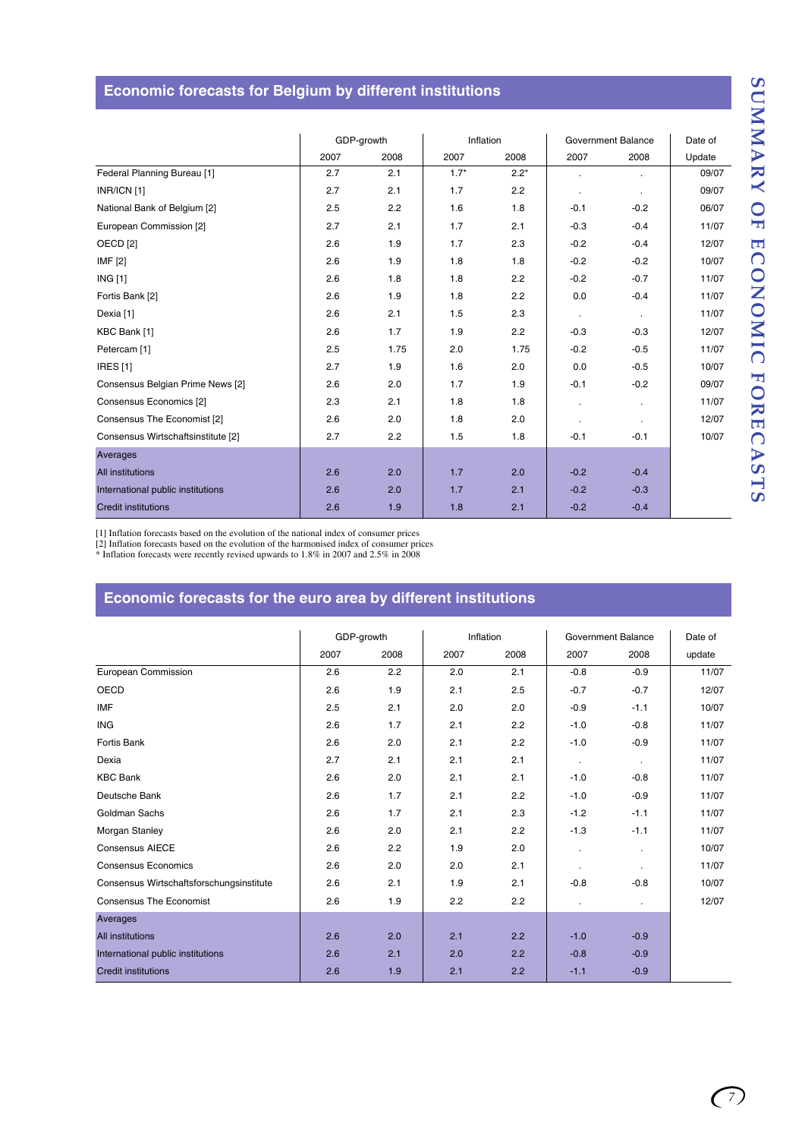# **Economic forecasts for Belgium by different institutions**

|                                    | GDP-growth |      | Inflation |        | Government Balance |                  | Date of |
|------------------------------------|------------|------|-----------|--------|--------------------|------------------|---------|
|                                    | 2007       | 2008 | 2007      | 2008   | 2007               | 2008             | Update  |
| Federal Planning Bureau [1]        | 2.7        | 2.1  | $1.7*$    | $2.2*$ |                    | $\bullet$        | 09/07   |
| INR/ICN [1]                        | 2.7        | 2.1  | 1.7       | 2.2    |                    | $\cdot$          | 09/07   |
| National Bank of Belgium [2]       | 2.5        | 2.2  | 1.6       | 1.8    | $-0.1$             | $-0.2$           | 06/07   |
| European Commission [2]            | 2.7        | 2.1  | 1.7       | 2.1    | $-0.3$             | $-0.4$           | 11/07   |
| OECD <sub>[2]</sub>                | 2.6        | 1.9  | 1.7       | 2.3    | $-0.2$             | $-0.4$           | 12/07   |
| <b>IMF [2]</b>                     | 2.6        | 1.9  | 1.8       | 1.8    | $-0.2$             | $-0.2$           | 10/07   |
| <b>ING [1]</b>                     | 2.6        | 1.8  | 1.8       | 2.2    | $-0.2$             | $-0.7$           | 11/07   |
| Fortis Bank [2]                    | 2.6        | 1.9  | 1.8       | 2.2    | 0.0                | $-0.4$           | 11/07   |
| Dexia [1]                          | 2.6        | 2.1  | 1.5       | 2.3    | $\sim$             | $\sim$ 100 $\mu$ | 11/07   |
| KBC Bank [1]                       | 2.6        | 1.7  | 1.9       | 2.2    | $-0.3$             | $-0.3$           | 12/07   |
| Petercam <sup>[1]</sup>            | 2.5        | 1.75 | 2.0       | 1.75   | $-0.2$             | $-0.5$           | 11/07   |
| <b>IRES</b> [1]                    | 2.7        | 1.9  | 1.6       | 2.0    | 0.0                | $-0.5$           | 10/07   |
| Consensus Belgian Prime News [2]   | 2.6        | 2.0  | 1.7       | 1.9    | $-0.1$             | $-0.2$           | 09/07   |
| Consensus Economics [2]            | 2.3        | 2.1  | 1.8       | 1.8    |                    | $\mathbf{r}$     | 11/07   |
| Consensus The Economist [2]        | 2.6        | 2.0  | 1.8       | 2.0    |                    | $\cdot$          | 12/07   |
| Consensus Wirtschaftsinstitute [2] | 2.7        | 2.2  | 1.5       | 1.8    | $-0.1$             | $-0.1$           | 10/07   |
| Averages                           |            |      |           |        |                    |                  |         |
| <b>All institutions</b>            | 2.6        | 2.0  | 1.7       | 2.0    | $-0.2$             | $-0.4$           |         |
| International public institutions  | 2.6        | 2.0  | 1.7       | 2.1    | $-0.2$             | $-0.3$           |         |
| <b>Credit institutions</b>         | 2.6        | 1.9  | 1.8       | 2.1    | $-0.2$             | $-0.4$           |         |

[1] Inflation forecasts based on the evolution of the national index of consumer prices

[2] Inflation forecasts based on the evolution of the harmonised index of consumer prices \* Inflation forecasts were recently revised upwards to 1.8% in 2007 and 2.5% in 2008

# **Economic forecasts for the euro area by different institutions**

|                                          | GDP-growth |      | Inflation |      | Government Balance |           | Date of |
|------------------------------------------|------------|------|-----------|------|--------------------|-----------|---------|
|                                          | 2007       | 2008 | 2007      | 2008 | 2007               | 2008      | update  |
| European Commission                      | 2.6        | 2.2  | 2.0       | 2.1  | $-0.8$             | $-0.9$    | 11/07   |
| OECD                                     | 2.6        | 1.9  | 2.1       | 2.5  | $-0.7$             | $-0.7$    | 12/07   |
| <b>IMF</b>                               | 2.5        | 2.1  | 2.0       | 2.0  | $-0.9$             | $-1.1$    | 10/07   |
| <b>ING</b>                               | 2.6        | 1.7  | 2.1       | 2.2  | $-1.0$             | $-0.8$    | 11/07   |
| Fortis Bank                              | 2.6        | 2.0  | 2.1       | 2.2  | $-1.0$             | $-0.9$    | 11/07   |
| Dexia                                    | 2.7        | 2.1  | 2.1       | 2.1  | $\blacksquare$     | $\bullet$ | 11/07   |
| <b>KBC Bank</b>                          | 2.6        | 2.0  | 2.1       | 2.1  | $-1.0$             | $-0.8$    | 11/07   |
| Deutsche Bank                            | 2.6        | 1.7  | 2.1       | 2.2  | $-1.0$             | $-0.9$    | 11/07   |
| Goldman Sachs                            | 2.6        | 1.7  | 2.1       | 2.3  | $-1.2$             | $-1.1$    | 11/07   |
| Morgan Stanley                           | 2.6        | 2.0  | 2.1       | 2.2  | $-1.3$             | $-1.1$    | 11/07   |
| <b>Consensus AIECE</b>                   | 2.6        | 2.2  | 1.9       | 2.0  | ä,                 | $\cdot$   | 10/07   |
| <b>Consensus Economics</b>               | 2.6        | 2.0  | 2.0       | 2.1  | $\cdot$            |           | 11/07   |
| Consensus Wirtschaftsforschungsinstitute | 2.6        | 2.1  | 1.9       | 2.1  | $-0.8$             | $-0.8$    | 10/07   |
| <b>Consensus The Economist</b>           | 2.6        | 1.9  | 2.2       | 2.2  |                    | $\bullet$ | 12/07   |
| Averages                                 |            |      |           |      |                    |           |         |
| <b>All institutions</b>                  | 2.6        | 2.0  | 2.1       | 2.2  | $-1.0$             | $-0.9$    |         |
| International public institutions        | 2.6        | 2.1  | 2.0       | 2.2  | $-0.8$             | $-0.9$    |         |
| <b>Credit institutions</b>               | 2.6        | 1.9  | 2.1       | 2.2  | $-1.1$             | $-0.9$    |         |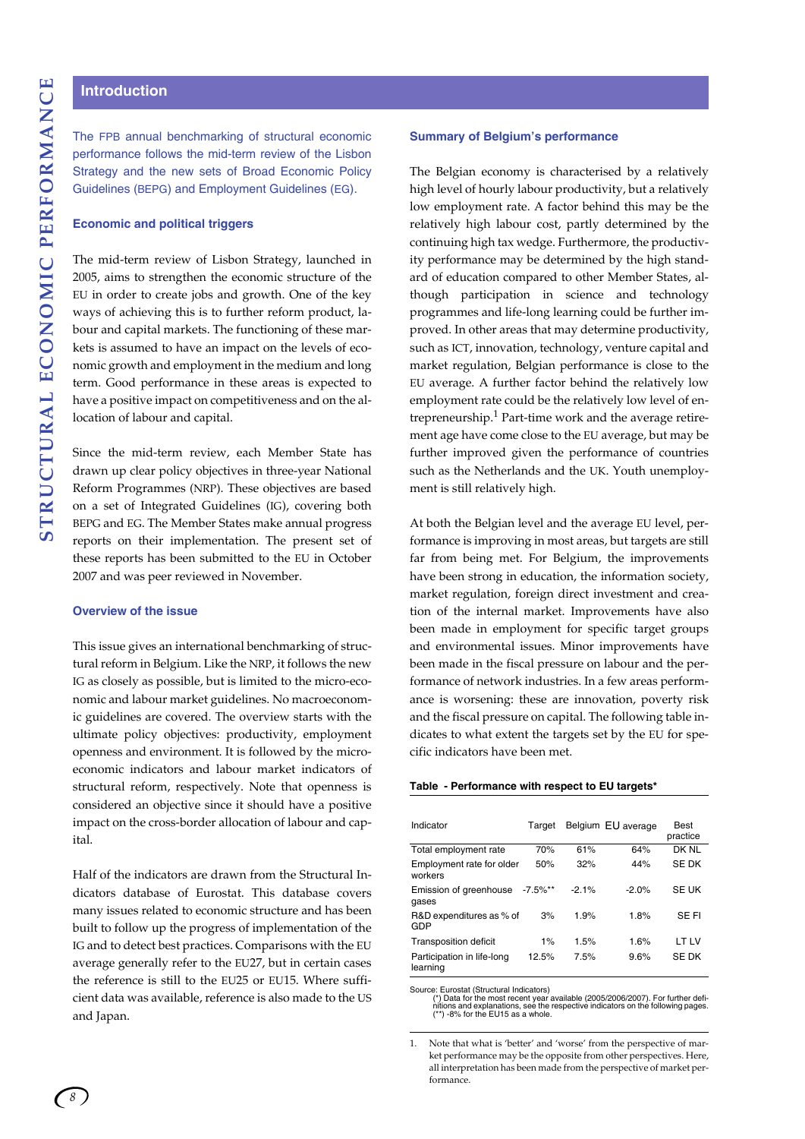# **Introduction**

The FPB annual benchmarking of structural economic performance follows the mid-term review of the Lisbon Strategy and the new sets of Broad Economic Policy Guidelines (BEPG) and Employment Guidelines (EG).

#### **Economic and political triggers**

The mid-term review of Lisbon Strategy, launched in 2005, aims to strengthen the economic structure of the EU in order to create jobs and growth. One of the key ways of achieving this is to further reform product, labour and capital markets. The functioning of these markets is assumed to have an impact on the levels of economic growth and employment in the medium and long term. Good performance in these areas is expected to have a positive impact on competitiveness and on the allocation of labour and capital.

Since the mid-term review, each Member State has drawn up clear policy objectives in three-year National Reform Programmes (NRP). These objectives are based on a set of Integrated Guidelines (IG), covering both BEPG and EG. The Member States make annual progress reports on their implementation. The present set of these reports has been submitted to the EU in October 2007 and was peer reviewed in November.

#### **Overview of the issue**

This issue gives an international benchmarking of structural reform in Belgium. Like the NRP, it follows the new IG as closely as possible, but is limited to the micro-economic and labour market guidelines. No macroeconomic guidelines are covered. The overview starts with the ultimate policy objectives: productivity, employment openness and environment. It is followed by the microeconomic indicators and labour market indicators of structural reform, respectively. Note that openness is considered an objective since it should have a positive impact on the cross-border allocation of labour and capital.

Half of the indicators are drawn from the Structural Indicators database of Eurostat. This database covers many issues related to economic structure and has been built to follow up the progress of implementation of the IG and to detect best practices. Comparisons with the EU average generally refer to the EU27, but in certain cases the reference is still to the EU25 or EU15. Where sufficient data was available, reference is also made to the US and Japan.

# **Summary of Belgium's performance**

The Belgian economy is characterised by a relatively high level of hourly labour productivity, but a relatively low employment rate. A factor behind this may be the relatively high labour cost, partly determined by the continuing high tax wedge. Furthermore, the productivity performance may be determined by the high standard of education compared to other Member States, although participation in science and technology programmes and life-long learning could be further improved. In other areas that may determine productivity, such as ICT, innovation, technology, venture capital and market regulation, Belgian performance is close to the EU average. A further factor behind the relatively low employment rate could be the relatively low level of entrepreneurship.<sup>1</sup> Part-time work and the average retirement age have come close to the EU average, but may be further improved given the performance of countries such as the Netherlands and the UK. Youth unemployment is still relatively high.

At both the Belgian level and the average EU level, performance is improving in most areas, but targets are still far from being met. For Belgium, the improvements have been strong in education, the information society, market regulation, foreign direct investment and creation of the internal market. Improvements have also been made in employment for specific target groups and environmental issues. Minor improvements have been made in the fiscal pressure on labour and the performance of network industries. In a few areas performance is worsening: these are innovation, poverty risk and the fiscal pressure on capital. The following table indicates to what extent the targets set by the EU for specific indicators have been met.

#### **Table - Performance with respect to EU targets\***

| Indicator                              | Target     |          | Belgium EU average | <b>Best</b><br>practice |
|----------------------------------------|------------|----------|--------------------|-------------------------|
| Total employment rate                  | 70%        | 61%      | 64%                | DK NI                   |
| Employment rate for older<br>workers   | 50%        | 32%      | 44%                | SE DK                   |
| Emission of greenhouse<br>gases        | $-7.5\%**$ | $-2.1\%$ | $-2.0%$            | <b>SE UK</b>            |
| R&D expenditures as % of<br>GDP        | 3%         | 1.9%     | 1.8%               | SE FI                   |
| <b>Transposition deficit</b>           | $1\%$      | 1.5%     | 1.6%               | LT LV                   |
| Participation in life-long<br>learning | 12.5%      | 7.5%     | 9.6%               | SE DK                   |

Source: Eurostat (Structural Indicators)<br>
(\*) Data for the most recent year available (2005/2006/2007). For further defi-<br>
nitions and explanations, see the respective indicators on the following pages.<br>
(\*\*) -8% for the E

Note that what is 'better' and 'worse' from the perspective of market performance may be the opposite from other perspectives. Here, all interpretation has been made from the perspective of market performance.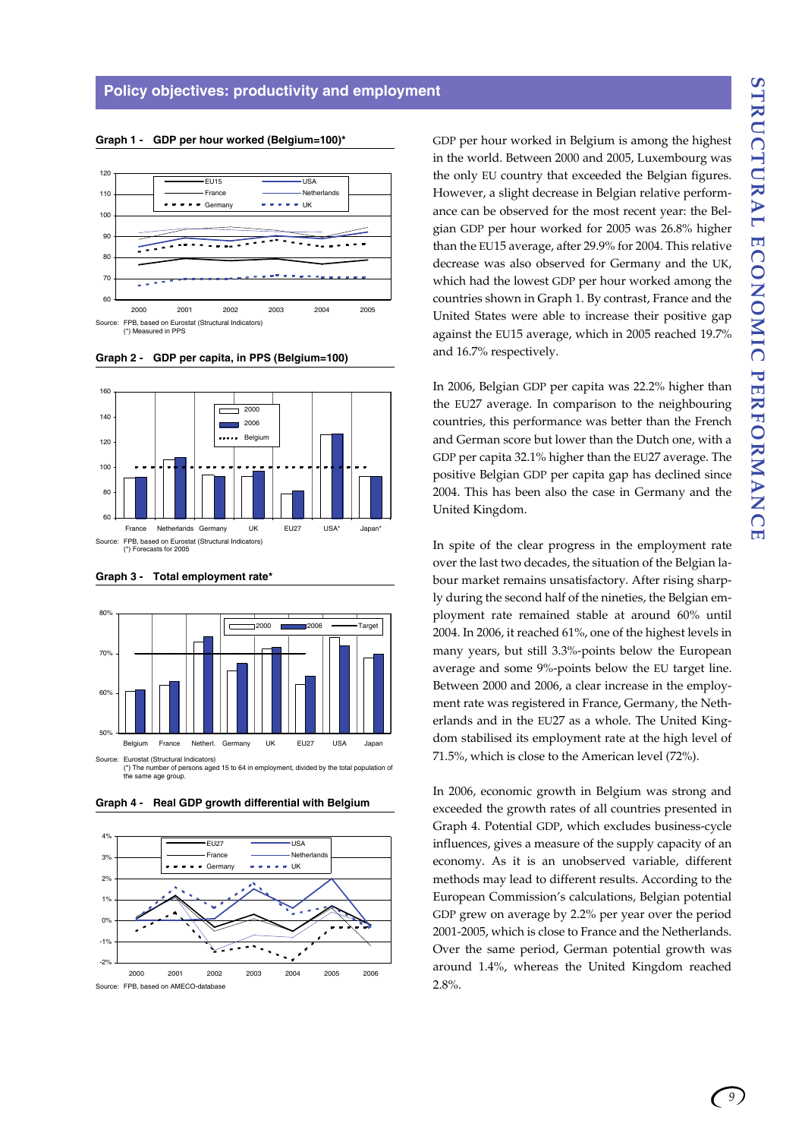#### **Graph 1 - GDP per hour worked (Belgium=100)\***



**Graph 2 - GDP per capita, in PPS (Belgium=100)**







(\*) The number of persons aged 15 to 64 in employment, divided by the total population of the same age group.



**Graph 4 - Real GDP growth differential with Belgium**

GDP per hour worked in Belgium is among the highest in the world. Between 2000 and 2005, Luxembourg was the only EU country that exceeded the Belgian figures. However, a slight decrease in Belgian relative performance can be observed for the most recent year: the Belgian GDP per hour worked for 2005 was 26.8% higher than the EU15 average, after 29.9% for 2004. This relative decrease was also observed for Germany and the UK, which had the lowest GDP per hour worked among the countries shown in Graph 1. By contrast, France and the United States were able to increase their positive gap against the EU15 average, which in 2005 reached 19.7% and 16.7% respectively.

In 2006, Belgian GDP per capita was 22.2% higher than the EU27 average. In comparison to the neighbouring countries, this performance was better than the French and German score but lower than the Dutch one, with a GDP per capita 32.1% higher than the EU27 average. The positive Belgian GDP per capita gap has declined since 2004. This has been also the case in Germany and the United Kingdom.

In spite of the clear progress in the employment rate over the last two decades, the situation of the Belgian labour market remains unsatisfactory. After rising sharply during the second half of the nineties, the Belgian employment rate remained stable at around 60% until 2004. In 2006, it reached 61%, one of the highest levels in many years, but still 3.3%-points below the European average and some 9%-points below the EU target line. Between 2000 and 2006, a clear increase in the employment rate was registered in France, Germany, the Netherlands and in the EU27 as a whole. The United Kingdom stabilised its employment rate at the high level of 71.5%, which is close to the American level (72%).

In 2006, economic growth in Belgium was strong and exceeded the growth rates of all countries presented in Graph 4. Potential GDP, which excludes business-cycle influences, gives a measure of the supply capacity of an economy. As it is an unobserved variable, different methods may lead to different results. According to the European Commission's calculations, Belgian potential GDP grew on average by 2.2% per year over the period 2001-2005, which is close to France and the Netherlands. Over the same period, German potential growth was around 1.4%, whereas the United Kingdom reached 2.8%.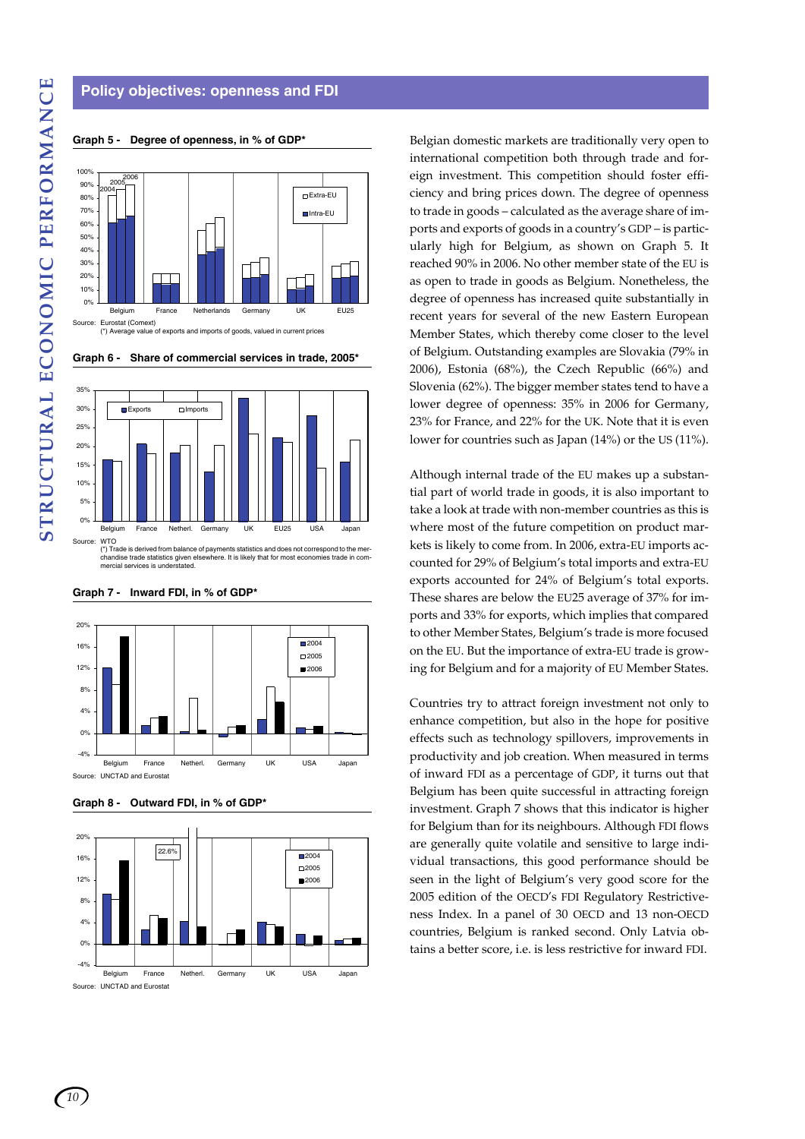# **Policy objectives: openness and FDI**

**Graph 5 - Degree of openness, in % of GDP\***

#### Eurostat (Comext) (\*) Average value of exports and imports of goods, valued in current prices  $0%$ 10% 20% 30%  $40<sup>°</sup>$ 50% 60% 70% 80% 90% 100% Belgium France Netherlands Germany UK EU25 Extra-EU Intra-EU 20052006 2004





(\*) Trade is derived from balance of payments statistics and does not correspond to the mer-chandise trade statistics given elsewhere. It is likely that for most economies trade in commade is derived from balance<br>indise trade statistics given e<br>rcial services is understated.



# **Graph 7 - Inward FDI, in % of GDP\***

**Graph 8 - Outward FDI, in % of GDP\***



Belgian domestic markets are traditionally very open to international competition both through trade and foreign investment. This competition should foster efficiency and bring prices down. The degree of openness to trade in goods – calculated as the average share of imports and exports of goods in a country's GDP – is particularly high for Belgium, as shown on Graph 5. It reached 90% in 2006. No other member state of the EU is as open to trade in goods as Belgium. Nonetheless, the degree of openness has increased quite substantially in recent years for several of the new Eastern European Member States, which thereby come closer to the level of Belgium. Outstanding examples are Slovakia (79% in 2006), Estonia (68%), the Czech Republic (66%) and Slovenia (62%). The bigger member states tend to have a lower degree of openness: 35% in 2006 for Germany, 23% for France, and 22% for the UK. Note that it is even lower for countries such as Japan (14%) or the US (11%).

Although internal trade of the EU makes up a substantial part of world trade in goods, it is also important to take a look at trade with non-member countries as this is where most of the future competition on product markets is likely to come from. In 2006, extra-EU imports accounted for 29% of Belgium's total imports and extra-EU exports accounted for 24% of Belgium's total exports. These shares are below the EU25 average of 37% for imports and 33% for exports, which implies that compared to other Member States, Belgium's trade is more focused on the EU. But the importance of extra-EU trade is growing for Belgium and for a majority of EU Member States.

Countries try to attract foreign investment not only to enhance competition, but also in the hope for positive effects such as technology spillovers, improvements in productivity and job creation. When measured in terms of inward FDI as a percentage of GDP, it turns out that Belgium has been quite successful in attracting foreign investment. Graph 7 shows that this indicator is higher for Belgium than for its neighbours. Although FDI flows are generally quite volatile and sensitive to large individual transactions, this good performance should be seen in the light of Belgium's very good score for the 2005 edition of the OECD's FDI Regulatory Restrictiveness Index. In a panel of 30 OECD and 13 non-OECD countries, Belgium is ranked second. Only Latvia obtains a better score, i.e. is less restrictive for inward FDI.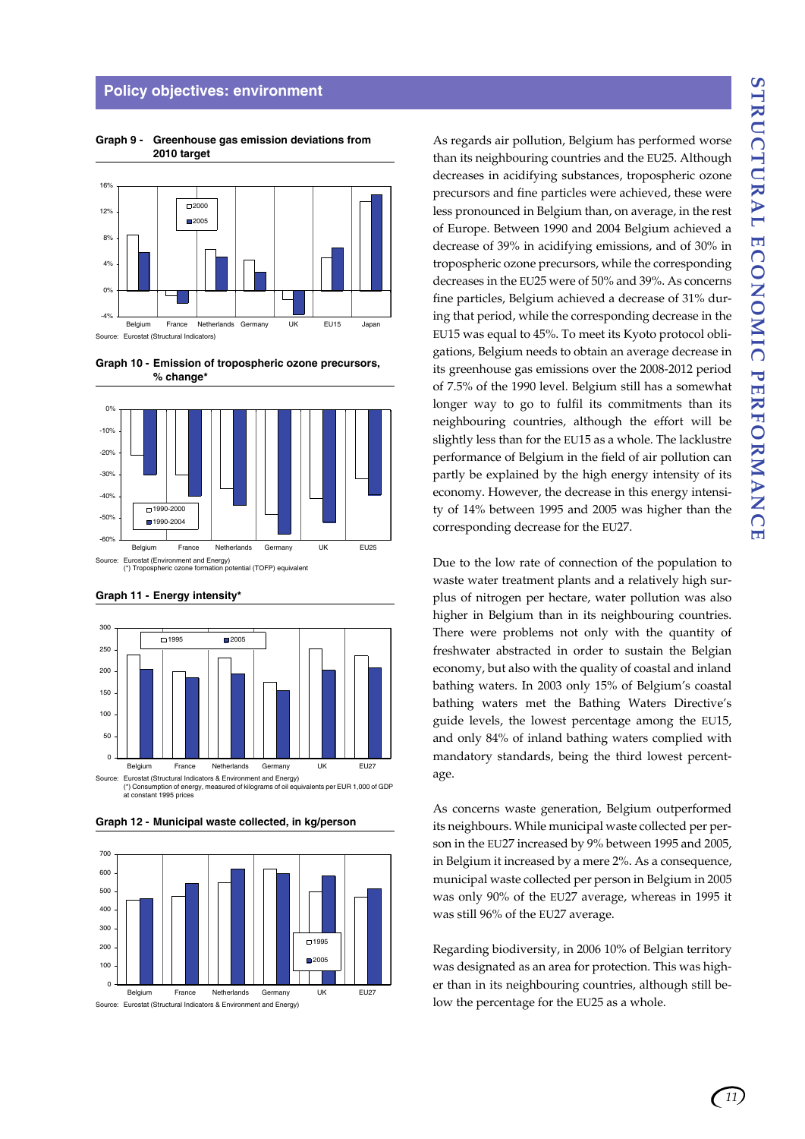#### **Policy objectives: environment**



**Graph 9 - Greenhouse gas emission deviations from 2010 target**

**Graph 10 - Emission of tropospheric ozone precursors, % change\***





**Graph 11 - Energy intensity\*** 

at constant 1995 prices

**Graph 12 - Municipal waste collected, in kg/person**



As regards air pollution, Belgium has performed worse than its neighbouring countries and the EU25. Although decreases in acidifying substances, tropospheric ozone precursors and fine particles were achieved, these were less pronounced in Belgium than, on average, in the rest of Europe. Between 1990 and 2004 Belgium achieved a decrease of 39% in acidifying emissions, and of 30% in tropospheric ozone precursors, while the corresponding decreases in the EU25 were of 50% and 39%. As concerns fine particles, Belgium achieved a decrease of 31% during that period, while the corresponding decrease in the EU15 was equal to 45%. To meet its Kyoto protocol obligations, Belgium needs to obtain an average decrease in its greenhouse gas emissions over the 2008-2012 period of 7.5% of the 1990 level. Belgium still has a somewhat longer way to go to fulfil its commitments than its neighbouring countries, although the effort will be slightly less than for the EU15 as a whole. The lacklustre performance of Belgium in the field of air pollution can partly be explained by the high energy intensity of its economy. However, the decrease in this energy intensity of 14% between 1995 and 2005 was higher than the corresponding decrease for the EU27.

Due to the low rate of connection of the population to waste water treatment plants and a relatively high surplus of nitrogen per hectare, water pollution was also higher in Belgium than in its neighbouring countries. There were problems not only with the quantity of freshwater abstracted in order to sustain the Belgian economy, but also with the quality of coastal and inland bathing waters. In 2003 only 15% of Belgium's coastal bathing waters met the Bathing Waters Directive's guide levels, the lowest percentage among the EU15, and only 84% of inland bathing waters complied with mandatory standards, being the third lowest percentage.

As concerns waste generation, Belgium outperformed its neighbours. While municipal waste collected per person in the EU27 increased by 9% between 1995 and 2005, in Belgium it increased by a mere 2%. As a consequence, municipal waste collected per person in Belgium in 2005 was only 90% of the EU27 average, whereas in 1995 it was still 96% of the EU27 average.

Regarding biodiversity, in 2006 10% of Belgian territory was designated as an area for protection. This was higher than in its neighbouring countries, although still below the percentage for the EU25 as a whole.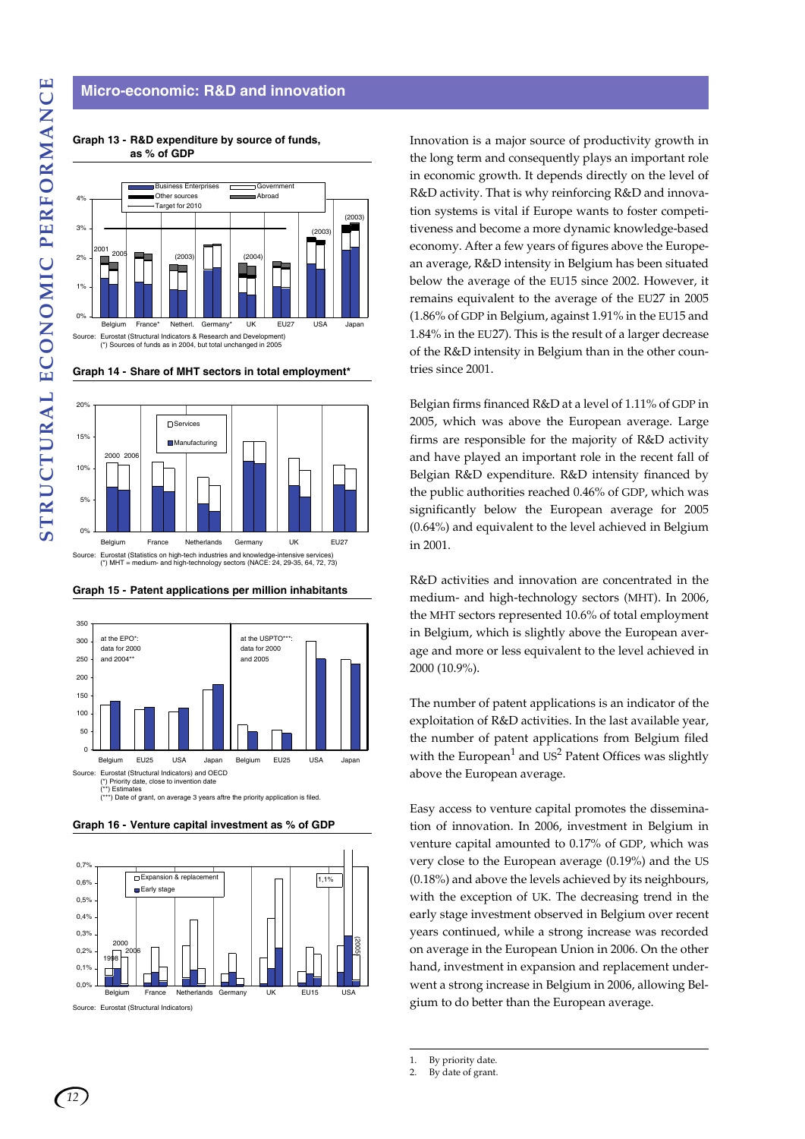# **Micro-economic: R&D and innovation**



**Graph 13 - R&D expenditure by source of funds, as % of GDP**





**Graph 15 - Patent applications per million inhabitants**



**Graph 16 - Venture capital investment as % of GDP**



Source: Eurostat (Structural Indicators)

Innovation is a major source of productivity growth in the long term and consequently plays an important role in economic growth. It depends directly on the level of R&D activity. That is why reinforcing R&D and innovation systems is vital if Europe wants to foster competitiveness and become a more dynamic knowledge-based economy. After a few years of figures above the European average, R&D intensity in Belgium has been situated below the average of the EU15 since 2002. However, it remains equivalent to the average of the EU27 in 2005 (1.86% of GDP in Belgium, against 1.91% in the EU15 and 1.84% in the EU27). This is the result of a larger decrease of the R&D intensity in Belgium than in the other countries since 2001.

Belgian firms financed R&D at a level of 1.11% of GDP in 2005, which was above the European average. Large firms are responsible for the majority of R&D activity and have played an important role in the recent fall of Belgian R&D expenditure. R&D intensity financed by the public authorities reached 0.46% of GDP, which was significantly below the European average for 2005 (0.64%) and equivalent to the level achieved in Belgium in 2001.

R&D activities and innovation are concentrated in the medium- and high-technology sectors (MHT). In 2006, the MHT sectors represented 10.6% of total employment in Belgium, which is slightly above the European average and more or less equivalent to the level achieved in 2000 (10.9%).

The number of patent applications is an indicator of the exploitation of R&D activities. In the last available year, the number of patent applications from Belgium filed with the European<sup>1</sup> and US<sup>2</sup> Patent Offices was slightly above the European average.

Easy access to venture capital promotes the dissemination of innovation. In 2006, investment in Belgium in venture capital amounted to 0.17% of GDP, which was very close to the European average (0.19%) and the US (0.18%) and above the levels achieved by its neighbours, with the exception of UK. The decreasing trend in the early stage investment observed in Belgium over recent years continued, while a strong increase was recorded on average in the European Union in 2006. On the other hand, investment in expansion and replacement underwent a strong increase in Belgium in 2006, allowing Belgium to do better than the European average.

1. By priority date.

<sup>2.</sup> By date of grant.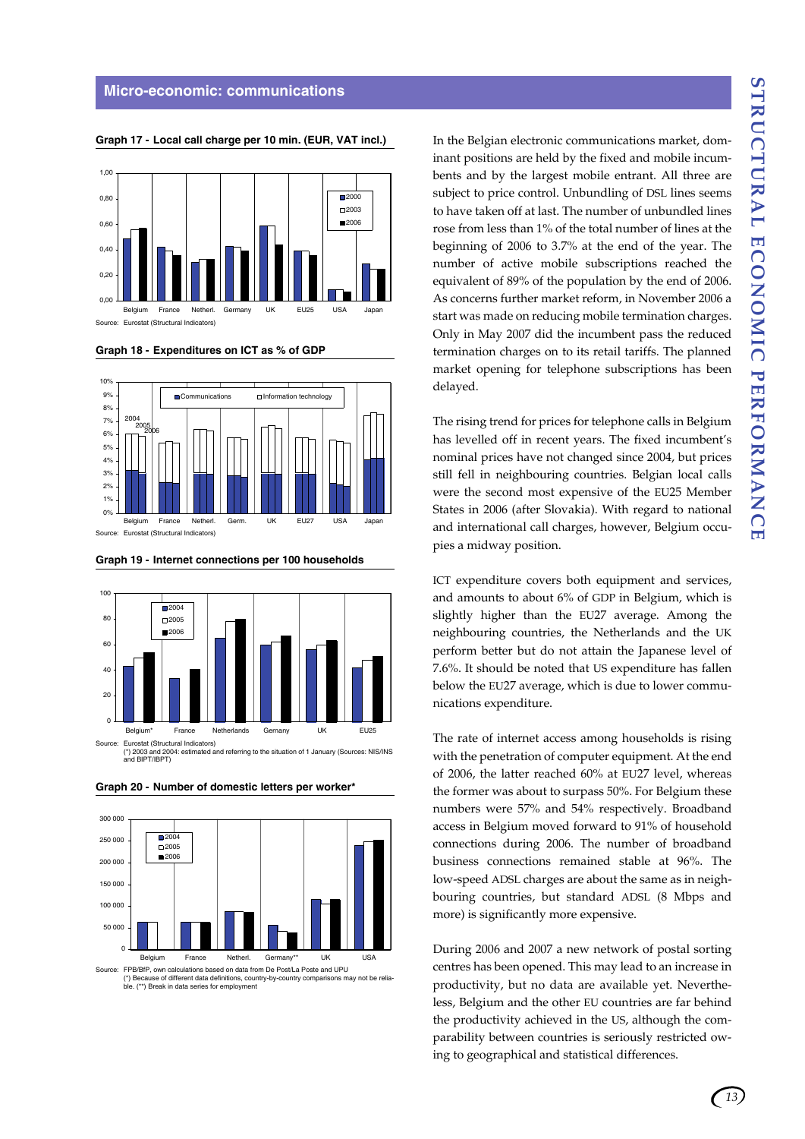

**Graph 17 - Local call charge per 10 min. (EUR, VAT incl.)**

**Graph 18 - Expenditures on ICT as % of GDP**



**Graph 19 - Internet connections per 100 households**

Source: Eurostat (Structural Indicators)



**Graph 20 - Number of domestic letters per worker\***



Source: FPB/BfP, own calculations based on data from De Post/La Poste and UPU<br>(\*) Because of different data definitions, country-by-country comparisons may not be relia of different data definitions, country-by-<br>reliations country comparisons may not be reliabecause of unferent data deminions<br>(\*\*) Break in data series for employ

In the Belgian electronic communications market, dominant positions are held by the fixed and mobile incumbents and by the largest mobile entrant. All three are subject to price control. Unbundling of DSL lines seems to have taken off at last. The number of unbundled lines rose from less than 1% of the total number of lines at the beginning of 2006 to 3.7% at the end of the year. The number of active mobile subscriptions reached the equivalent of 89% of the population by the end of 2006. As concerns further market reform, in November 2006 a start was made on reducing mobile termination charges. Only in May 2007 did the incumbent pass the reduced termination charges on to its retail tariffs. The planned market opening for telephone subscriptions has been delayed.

The rising trend for prices for telephone calls in Belgium has levelled off in recent years. The fixed incumbent's nominal prices have not changed since 2004, but prices still fell in neighbouring countries. Belgian local calls were the second most expensive of the EU25 Member States in 2006 (after Slovakia). With regard to national and international call charges, however, Belgium occupies a midway position.

ICT expenditure covers both equipment and services, and amounts to about 6% of GDP in Belgium, which is slightly higher than the EU27 average. Among the neighbouring countries, the Netherlands and the UK perform better but do not attain the Japanese level of 7.6%. It should be noted that US expenditure has fallen below the EU27 average, which is due to lower communications expenditure.

The rate of internet access among households is rising with the penetration of computer equipment. At the end of 2006, the latter reached 60% at EU27 level, whereas the former was about to surpass 50%. For Belgium these numbers were 57% and 54% respectively. Broadband access in Belgium moved forward to 91% of household connections during 2006. The number of broadband business connections remained stable at 96%. The low-speed ADSL charges are about the same as in neighbouring countries, but standard ADSL (8 Mbps and more) is significantly more expensive.

During 2006 and 2007 a new network of postal sorting centres has been opened. This may lead to an increase in productivity, but no data are available yet. Nevertheless, Belgium and the other EU countries are far behind the productivity achieved in the US, although the comparability between countries is seriously restricted owing to geographical and statistical differences.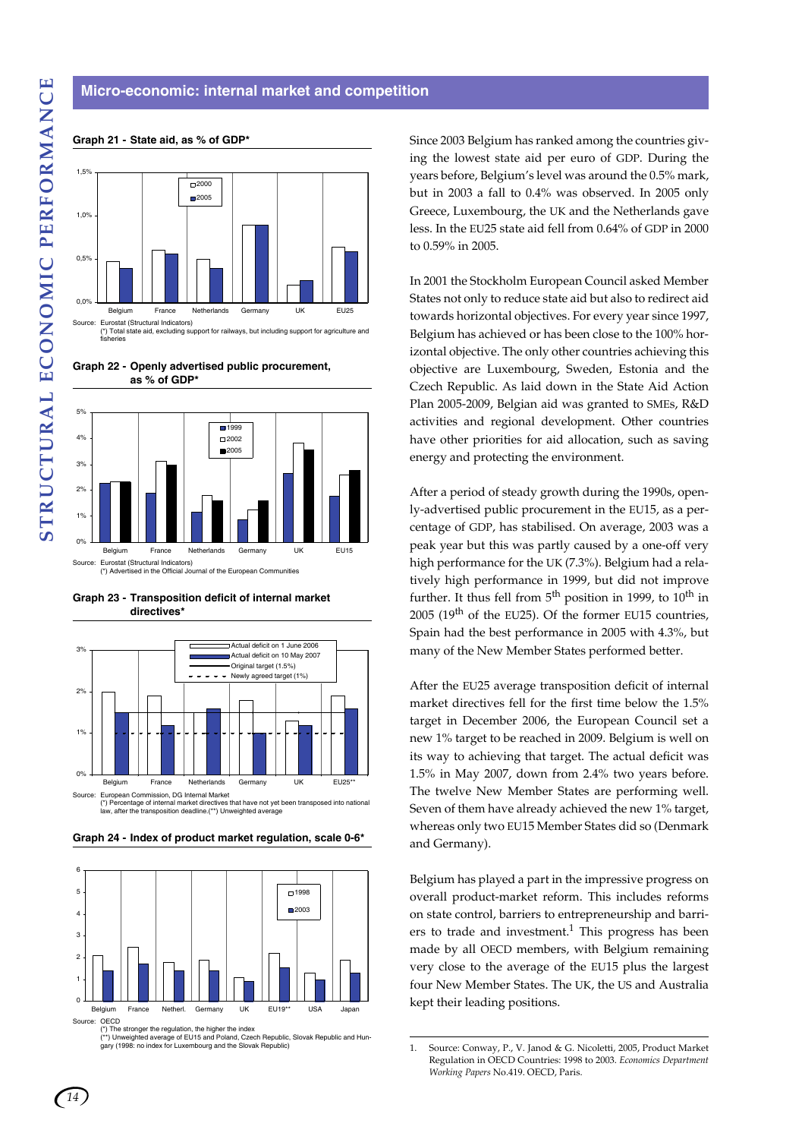# Eurostat (Structural Indicators) (\*) Total state aid, excluding support for railways, but including support for agriculture and 0,0%  $0.5%$ 1,0% 1,5% Belgium France Netherlands Germany UK EU25 m2000 **2005**

**Graph 21 - State aid, as % of GDP\***

**Graph 22 - Openly advertised public procurement, as % of GDP\***



**Graph 23 - Transposition deficit of internal market directives\***



**Graph 24 - Index of product market regulation, scale 0-6\***



(\*) The stronger the regulation, the higher the index<br>(\*\*) Unweighted average of EU15 and Poland, Czech Republic, Slovak Republic and Hun-<br>gary (1998: no index for Luxembourg and the Slovak Republic)

Since 2003 Belgium has ranked among the countries giving the lowest state aid per euro of GDP. During the years before, Belgium's level was around the 0.5% mark, but in 2003 a fall to 0.4% was observed. In 2005 only Greece, Luxembourg, the UK and the Netherlands gave less. In the EU25 state aid fell from 0.64% of GDP in 2000 to 0.59% in 2005.

In 2001 the Stockholm European Council asked Member States not only to reduce state aid but also to redirect aid towards horizontal objectives. For every year since 1997, Belgium has achieved or has been close to the 100% horizontal objective. The only other countries achieving this objective are Luxembourg, Sweden, Estonia and the Czech Republic. As laid down in the State Aid Action Plan 2005-2009, Belgian aid was granted to SMEs, R&D activities and regional development. Other countries have other priorities for aid allocation, such as saving energy and protecting the environment.

After a period of steady growth during the 1990s, openly-advertised public procurement in the EU15, as a percentage of GDP, has stabilised. On average, 2003 was a peak year but this was partly caused by a one-off very high performance for the UK (7.3%). Belgium had a relatively high performance in 1999, but did not improve further. It thus fell from  $5<sup>th</sup>$  position in 1999, to  $10<sup>th</sup>$  in 2005 (19th of the EU25). Of the former EU15 countries, Spain had the best performance in 2005 with 4.3%, but many of the New Member States performed better.

After the EU25 average transposition deficit of internal market directives fell for the first time below the 1.5% target in December 2006, the European Council set a new 1% target to be reached in 2009. Belgium is well on its way to achieving that target. The actual deficit was 1.5% in May 2007, down from 2.4% two years before. The twelve New Member States are performing well. Seven of them have already achieved the new 1% target, whereas only two EU15 Member States did so (Denmark and Germany).

Belgium has played a part in the impressive progress on overall product-market reform. This includes reforms on state control, barriers to entrepreneurship and barriers to trade and investment.<sup>1</sup> This progress has been made by all OECD members, with Belgium remaining very close to the average of the EU15 plus the largest four New Member States. The UK, the US and Australia kept their leading positions.

fisheries

<sup>1.</sup> Source: Conway, P., V. Janod & G. Nicoletti, 2005, Product Market Regulation in OECD Countries: 1998 to 2003. *Economics Department Working Papers* No.419. OECD, Paris.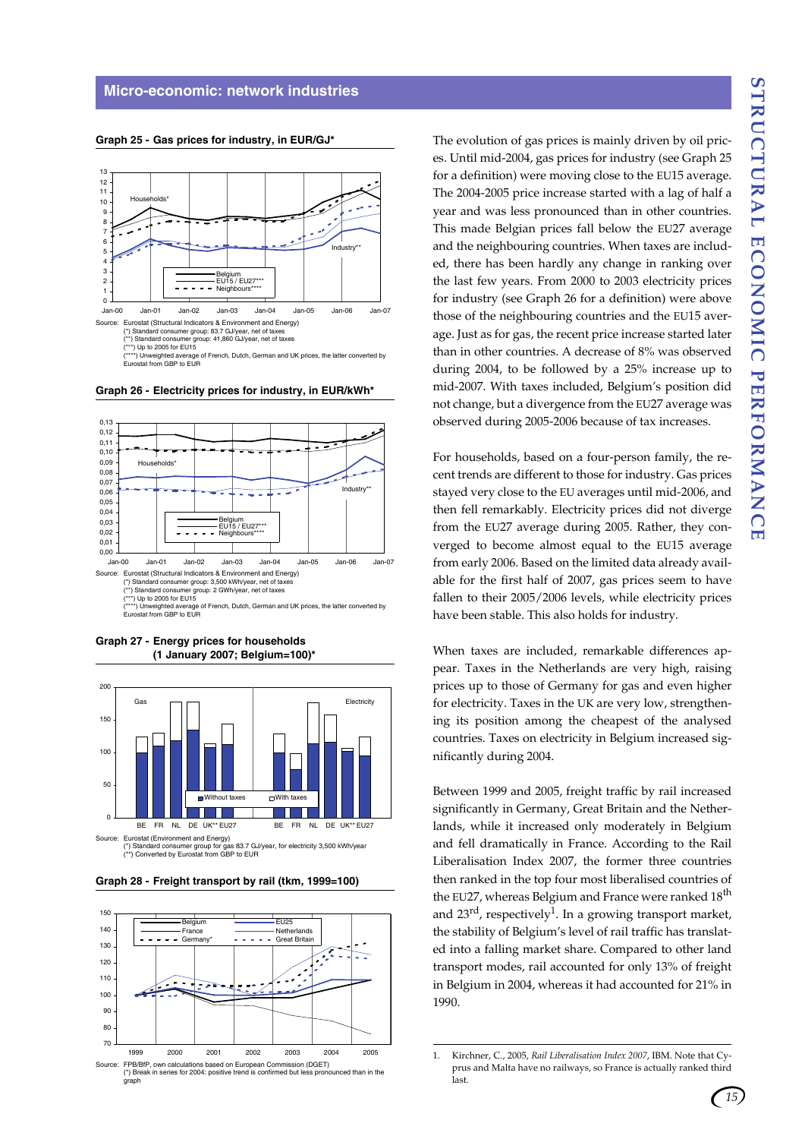

**Graph 25 - Gas prices for industry, in EUR/GJ\*** 

**Graph 26 - Electricity prices for industry, in EUR/kWh\*** 



**Graph 27 - Energy prices for households (1 January 2007; Belgium=100)\***







The evolution of gas prices is mainly driven by oil prices. Until mid-2004, gas prices for industry (see Graph 25 for a definition) were moving close to the EU15 average. The 2004-2005 price increase started with a lag of half a year and was less pronounced than in other countries. This made Belgian prices fall below the EU27 average and the neighbouring countries. When taxes are included, there has been hardly any change in ranking over the last few years. From 2000 to 2003 electricity prices for industry (see Graph 26 for a definition) were above those of the neighbouring countries and the EU15 average. Just as for gas, the recent price increase started later than in other countries. A decrease of 8% was observed during 2004, to be followed by a 25% increase up to mid-2007. With taxes included, Belgium's position did not change, but a divergence from the EU27 average was observed during 2005-2006 because of tax increases.

For households, based on a four-person family, the recent trends are different to those for industry. Gas prices stayed very close to the EU averages until mid-2006, and then fell remarkably. Electricity prices did not diverge from the EU27 average during 2005. Rather, they converged to become almost equal to the EU15 average from early 2006. Based on the limited data already available for the first half of 2007, gas prices seem to have fallen to their 2005/2006 levels, while electricity prices have been stable. This also holds for industry.

When taxes are included, remarkable differences appear. Taxes in the Netherlands are very high, raising prices up to those of Germany for gas and even higher for electricity. Taxes in the UK are very low, strengthening its position among the cheapest of the analysed countries. Taxes on electricity in Belgium increased significantly during 2004.

Between 1999 and 2005, freight traffic by rail increased significantly in Germany, Great Britain and the Netherlands, while it increased only moderately in Belgium and fell dramatically in France. According to the Rail Liberalisation Index 2007, the former three countries then ranked in the top four most liberalised countries of the EU27, whereas Belgium and France were ranked 18<sup>th</sup> and  $23^{\text{rd}}$ , respectively<sup>1</sup>. In a growing transport market, the stability of Belgium's level of rail traffic has translated into a falling market share. Compared to other land transport modes, rail accounted for only 13% of freight in Belgium in 2004, whereas it had accounted for 21% in 1990.

*15*

<sup>1.</sup> Kirchner, C., 2005, *Rail Liberalisation Index 2007*, IBM. Note that Cyprus and Malta have no railways, so France is actually ranked third last.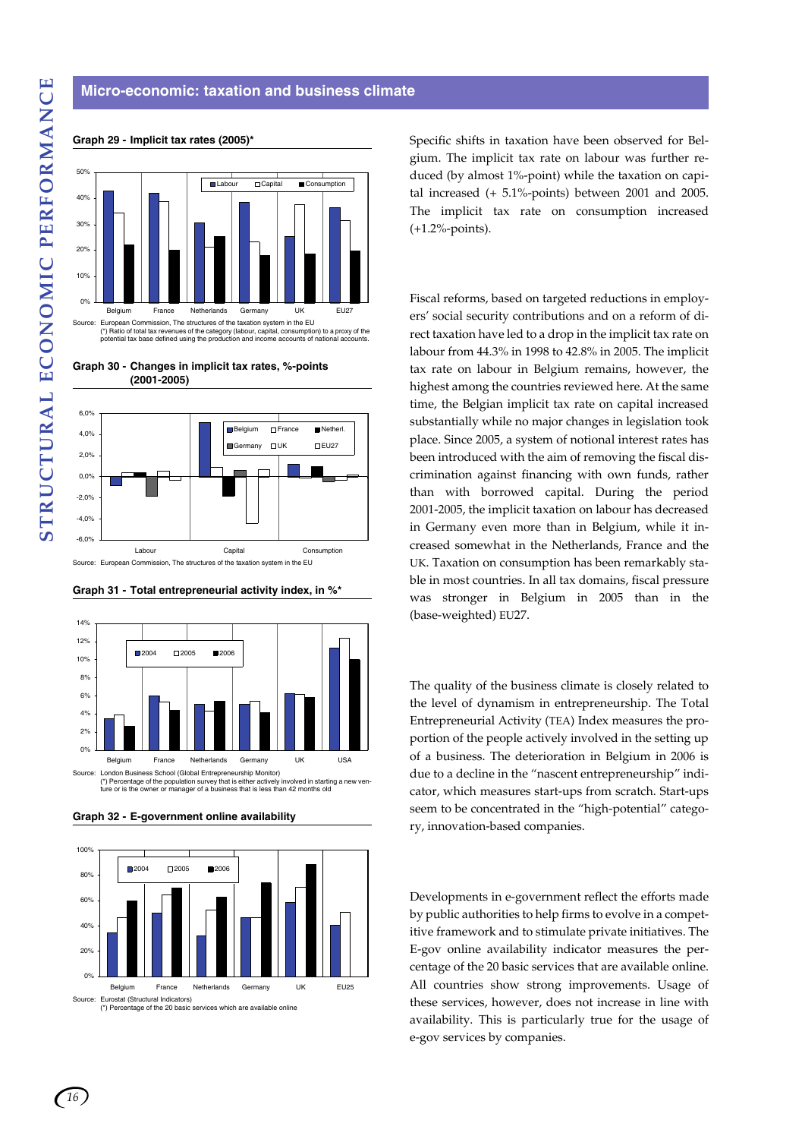# **Micro-economic: taxation and business climate**



#### **Graph 29 - Implicit tax rates (2005)\***

**Graph 30 - Changes in implicit tax rates, %-points (2001-2005)**



**Graph 31 - Total entrepreneurial activity index, in %\***



**Graph 32 - E-government online availability** 



Specific shifts in taxation have been observed for Belgium. The implicit tax rate on labour was further reduced (by almost 1%-point) while the taxation on capital increased (+ 5.1%-points) between 2001 and 2005. The implicit tax rate on consumption increased (+1.2%-points).

Fiscal reforms, based on targeted reductions in employers' social security contributions and on a reform of direct taxation have led to a drop in the implicit tax rate on labour from 44.3% in 1998 to 42.8% in 2005. The implicit tax rate on labour in Belgium remains, however, the highest among the countries reviewed here. At the same time, the Belgian implicit tax rate on capital increased substantially while no major changes in legislation took place. Since 2005, a system of notional interest rates has been introduced with the aim of removing the fiscal discrimination against financing with own funds, rather than with borrowed capital. During the period 2001-2005, the implicit taxation on labour has decreased in Germany even more than in Belgium, while it increased somewhat in the Netherlands, France and the UK. Taxation on consumption has been remarkably stable in most countries. In all tax domains, fiscal pressure was stronger in Belgium in 2005 than in the (base-weighted) EU27.

The quality of the business climate is closely related to the level of dynamism in entrepreneurship. The Total Entrepreneurial Activity (TEA) Index measures the proportion of the people actively involved in the setting up of a business. The deterioration in Belgium in 2006 is due to a decline in the "nascent entrepreneurship" indicator, which measures start-ups from scratch. Start-ups seem to be concentrated in the "high-potential" category, innovation-based companies.

Developments in e-government reflect the efforts made by public authorities to help firms to evolve in a competitive framework and to stimulate private initiatives. The E-gov online availability indicator measures the percentage of the 20 basic services that are available online. All countries show strong improvements. Usage of these services, however, does not increase in line with availability. This is particularly true for the usage of e-gov services by companies.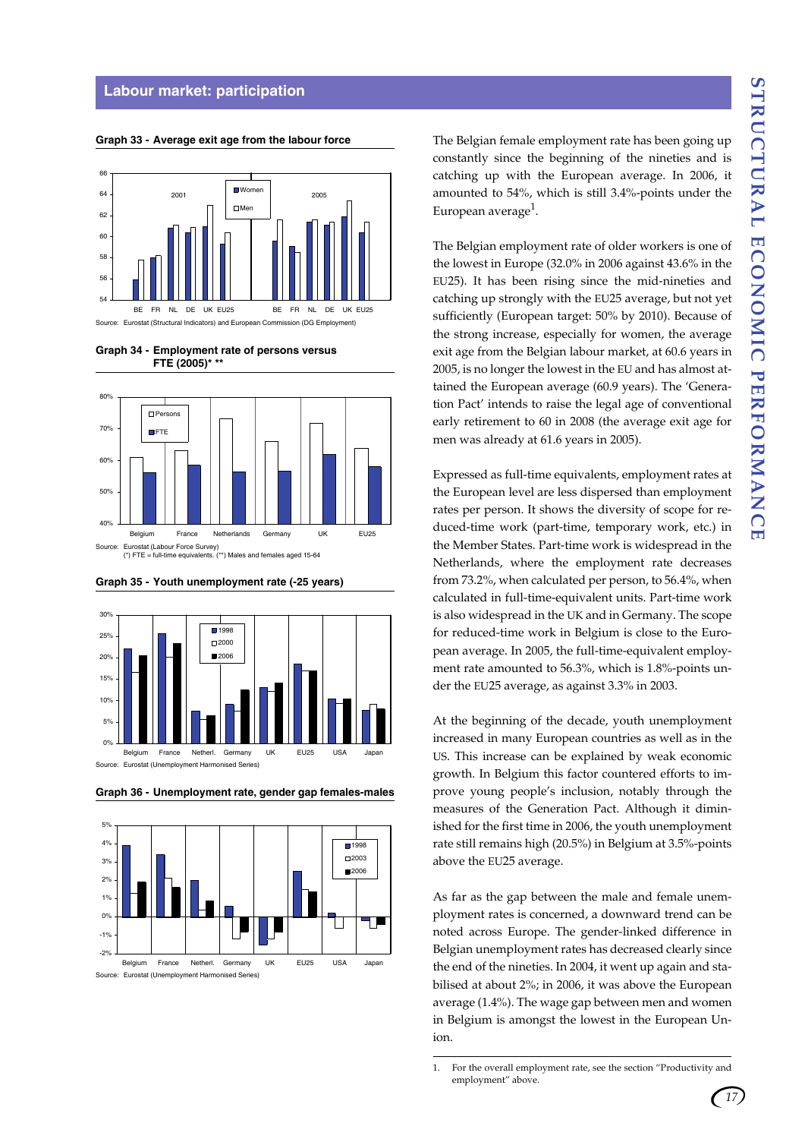### **Labour market: participation**



#### **Graph 33 - Average exit age from the labour force**







**Graph 35 - Youth unemployment rate (-25 years)**





The Belgian female employment rate has been going up constantly since the beginning of the nineties and is catching up with the European average. In 2006, it amounted to 54%, which is still 3.4%-points under the European average<sup>1</sup>.

The Belgian employment rate of older workers is one of the lowest in Europe (32.0% in 2006 against 43.6% in the EU25). It has been rising since the mid-nineties and catching up strongly with the EU25 average, but not yet sufficiently (European target: 50% by 2010). Because of the strong increase, especially for women, the average exit age from the Belgian labour market, at 60.6 years in 2005, is no longer the lowest in the EU and has almost attained the European average (60.9 years). The 'Generation Pact' intends to raise the legal age of conventional early retirement to 60 in 2008 (the average exit age for men was already at 61.6 years in 2005).

Expressed as full-time equivalents, employment rates at the European level are less dispersed than employment rates per person. It shows the diversity of scope for reduced-time work (part-time, temporary work, etc.) in the Member States. Part-time work is widespread in the Netherlands, where the employment rate decreases from 73.2%, when calculated per person, to 56.4%, when calculated in full-time-equivalent units. Part-time work is also widespread in the UK and in Germany. The scope for reduced-time work in Belgium is close to the European average. In 2005, the full-time-equivalent employment rate amounted to 56.3%, which is 1.8%-points under the EU25 average, as against 3.3% in 2003.

At the beginning of the decade, youth unemployment increased in many European countries as well as in the US. This increase can be explained by weak economic growth. In Belgium this factor countered efforts to improve young people's inclusion, notably through the measures of the Generation Pact. Although it diminished for the first time in 2006, the youth unemployment rate still remains high (20.5%) in Belgium at 3.5%-points above the EU25 average.

As far as the gap between the male and female unemployment rates is concerned, a downward trend can be noted across Europe. The gender-linked difference in Belgian unemployment rates has decreased clearly since the end of the nineties. In 2004, it went up again and stabilised at about 2%; in 2006, it was above the European average (1.4%). The wage gap between men and women in Belgium is amongst the lowest in the European Union.

<sup>1.</sup> For the overall employment rate, see the section "Productivity and employment" above.

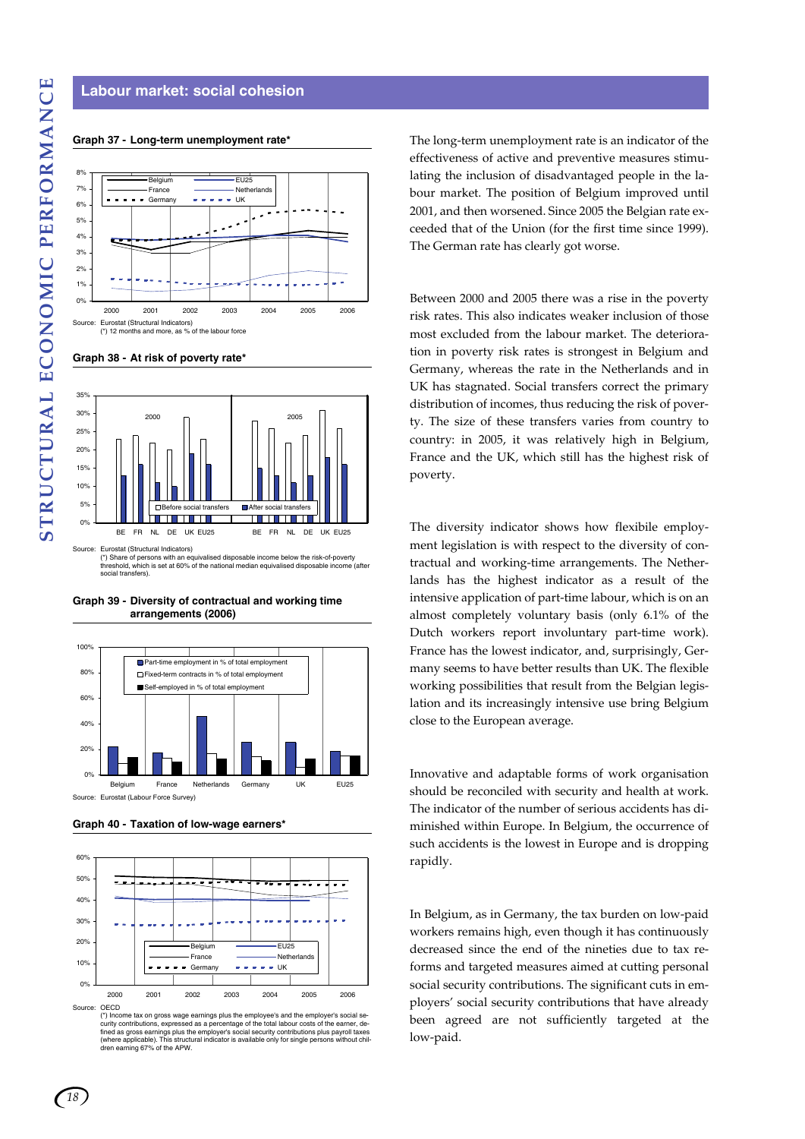# **Labour market: social cohesion**

#### **Graph 37 - Long-term unemployment rate\***







(\*) Share of persons with an equivalised disposable income below the risk-of-poverty threshold, which is set at 60% of the national median equivalised disposable income (after social transfers).

**Graph 39 - Diversity of contractual and working time arrangements (2006)**



**Graph 40 - Taxation of low-wage earners\***



curity contributions, expressed as a percentage of the total labour costs of the earner, de-<br>fined as gross earnings plus the employer's social security contributions plus payroll taxes<br>(where applicable). This structural

The long-term unemployment rate is an indicator of the effectiveness of active and preventive measures stimulating the inclusion of disadvantaged people in the labour market. The position of Belgium improved until 2001, and then worsened. Since 2005 the Belgian rate exceeded that of the Union (for the first time since 1999). The German rate has clearly got worse.

Between 2000 and 2005 there was a rise in the poverty risk rates. This also indicates weaker inclusion of those most excluded from the labour market. The deterioration in poverty risk rates is strongest in Belgium and Germany, whereas the rate in the Netherlands and in UK has stagnated. Social transfers correct the primary distribution of incomes, thus reducing the risk of poverty. The size of these transfers varies from country to country: in 2005, it was relatively high in Belgium, France and the UK, which still has the highest risk of poverty.

The diversity indicator shows how flexibile employment legislation is with respect to the diversity of contractual and working-time arrangements. The Netherlands has the highest indicator as a result of the intensive application of part-time labour, which is on an almost completely voluntary basis (only 6.1% of the Dutch workers report involuntary part-time work). France has the lowest indicator, and, surprisingly, Germany seems to have better results than UK. The flexible working possibilities that result from the Belgian legislation and its increasingly intensive use bring Belgium close to the European average.

Innovative and adaptable forms of work organisation should be reconciled with security and health at work. The indicator of the number of serious accidents has diminished within Europe. In Belgium, the occurrence of such accidents is the lowest in Europe and is dropping rapidly.

In Belgium, as in Germany, the tax burden on low-paid workers remains high, even though it has continuously decreased since the end of the nineties due to tax reforms and targeted measures aimed at cutting personal social security contributions. The significant cuts in employers' social security contributions that have already been agreed are not sufficiently targeted at the low-paid.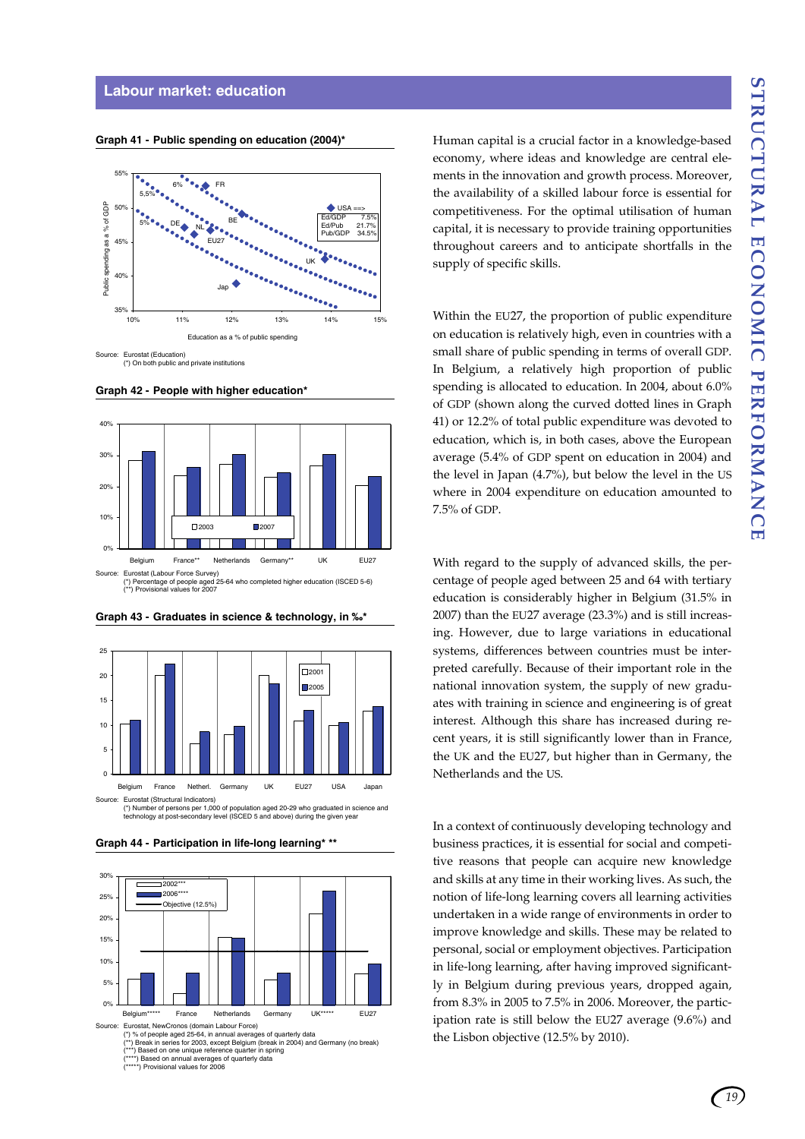#### **Labour market: education**



**Graph 41 - Public spending on education (2004)\***

**Graph 42 - People with higher education\***





**Graph 43 - Graduates in science & technology, in ‰\***

**Graph 44 - Participation in life-long learning\* \*\***



Human capital is a crucial factor in a knowledge-based economy, where ideas and knowledge are central elements in the innovation and growth process. Moreover, the availability of a skilled labour force is essential for competitiveness. For the optimal utilisation of human capital, it is necessary to provide training opportunities throughout careers and to anticipate shortfalls in the supply of specific skills.

Within the EU27, the proportion of public expenditure on education is relatively high, even in countries with a small share of public spending in terms of overall GDP. In Belgium, a relatively high proportion of public spending is allocated to education. In 2004, about 6.0% of GDP (shown along the curved dotted lines in Graph 41) or 12.2% of total public expenditure was devoted to education, which is, in both cases, above the European average (5.4% of GDP spent on education in 2004) and the level in Japan (4.7%), but below the level in the US where in 2004 expenditure on education amounted to 7.5% of GDP.

With regard to the supply of advanced skills, the percentage of people aged between 25 and 64 with tertiary education is considerably higher in Belgium (31.5% in 2007) than the EU27 average (23.3%) and is still increasing. However, due to large variations in educational systems, differences between countries must be interpreted carefully. Because of their important role in the national innovation system, the supply of new graduates with training in science and engineering is of great interest. Although this share has increased during recent years, it is still significantly lower than in France, the UK and the EU27, but higher than in Germany, the Netherlands and the US.

In a context of continuously developing technology and business practices, it is essential for social and competitive reasons that people can acquire new knowledge and skills at any time in their working lives. As such, the notion of life-long learning covers all learning activities undertaken in a wide range of environments in order to improve knowledge and skills. These may be related to personal, social or employment objectives. Participation in life-long learning, after having improved significantly in Belgium during previous years, dropped again, from 8.3% in 2005 to 7.5% in 2006. Moreover, the participation rate is still below the EU27 average (9.6%) and the Lisbon objective (12.5% by 2010).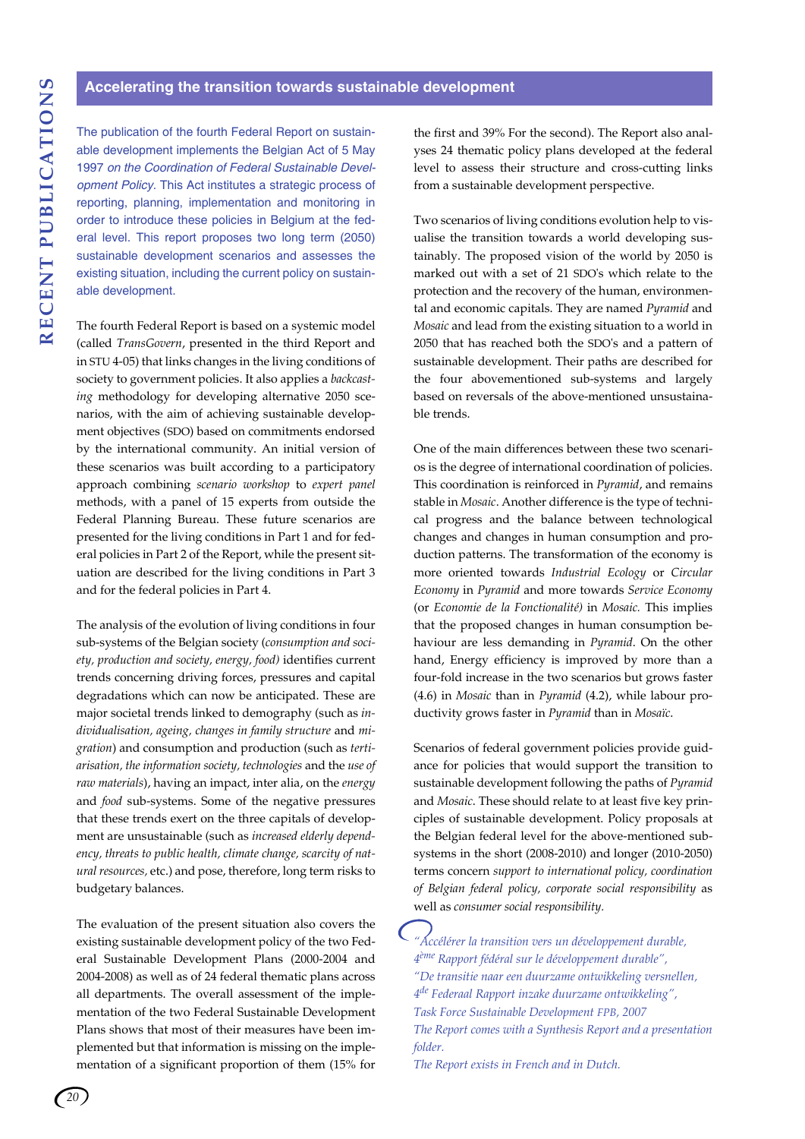The publication of the fourth Federal Report on sustainable development implements the Belgian Act of 5 May 1997 *on the Coordination of Federal Sustainable Development Policy.* This Act institutes a strategic process of reporting, planning, implementation and monitoring in order to introduce these policies in Belgium at the federal level. This report proposes two long term (2050) sustainable development scenarios and assesses the existing situation, including the current policy on sustainable development.

The fourth Federal Report is based on a systemic model (called *TransGovern*, presented in the third Report and in STU 4-05) that links changes in the living conditions of society to government policies. It also applies a *backcasting* methodology for developing alternative 2050 scenarios, with the aim of achieving sustainable development objectives (SDO) based on commitments endorsed by the international community. An initial version of these scenarios was built according to a participatory approach combining *scenario workshop* to *expert panel* methods, with a panel of 15 experts from outside the Federal Planning Bureau. These future scenarios are presented for the living conditions in Part 1 and for federal policies in Part 2 of the Report, while the present situation are described for the living conditions in Part 3 and for the federal policies in Part 4.

The analysis of the evolution of living conditions in four sub-systems of the Belgian society (*consumption and society, production and society, energy, food)* identifies current trends concerning driving forces, pressures and capital degradations which can now be anticipated. These are major societal trends linked to demography (such as *individualisation, ageing, changes in family structure* and *migration*) and consumption and production (such as *tertiarisation, the information society, technologies* and the *use of raw materials*), having an impact, inter alia, on the *energy* and *food* sub-systems. Some of the negative pressures that these trends exert on the three capitals of development are unsustainable (such as *increased elderly dependency, threats to public health, climate change, scarcity of natural resources,* etc.) and pose, therefore, long term risks to budgetary balances.

The evaluation of the present situation also covers the existing sustainable development policy of the two Federal Sustainable Development Plans (2000-2004 and 2004-2008) as well as of 24 federal thematic plans across all departments. The overall assessment of the implementation of the two Federal Sustainable Development Plans shows that most of their measures have been implemented but that information is missing on the implementation of a significant proportion of them (15% for the first and 39% For the second). The Report also analyses 24 thematic policy plans developed at the federal level to assess their structure and cross-cutting links from a sustainable development perspective.

Two scenarios of living conditions evolution help to visualise the transition towards a world developing sustainably. The proposed vision of the world by 2050 is marked out with a set of 21 SDO's which relate to the protection and the recovery of the human, environmental and economic capitals. They are named *Pyramid* and *Mosaic* and lead from the existing situation to a world in 2050 that has reached both the SDO's and a pattern of sustainable development. Their paths are described for the four abovementioned sub-systems and largely based on reversals of the above-mentioned unsustainable trends.

One of the main differences between these two scenarios is the degree of international coordination of policies. This coordination is reinforced in *Pyramid*, and remains stable in *Mosaic*. Another difference is the type of technical progress and the balance between technological changes and changes in human consumption and production patterns. The transformation of the economy is more oriented towards *Industrial Ecology* or *Circular Economy* in *Pyramid* and more towards *Service Economy* (or *Economie de la Fonctionalité)* in *Mosaic.* This implies that the proposed changes in human consumption behaviour are less demanding in *Pyramid*. On the other hand, Energy efficiency is improved by more than a four-fold increase in the two scenarios but grows faster (4.6) in *Mosaic* than in *Pyramid* (4.2), while labour productivity grows faster in *Pyramid* than in *Mosaïc*.

Scenarios of federal government policies provide guidance for policies that would support the transition to sustainable development following the paths of *Pyramid* and *Mosaic*. These should relate to at least five key principles of sustainable development. Policy proposals at the Belgian federal level for the above-mentioned subsystems in the short (2008-2010) and longer (2010-2050) terms concern *support to international policy, coordination of Belgian federal policy, corporate social responsibility* as well as *consumer social responsibility.*

*"Accélérer la transition vers un développement durable, 4ème Rapport fédéral sur le développement durable", "De transitie naar een duurzame ontwikkeling versnellen, 4de Federaal Rapport inzake duurzame ontwikkeling", Task Force Sustainable Development FPB, 2007 The Report comes with a Synthesis Report and a presentation folder.*

*The Report exists in French and in Dutch.*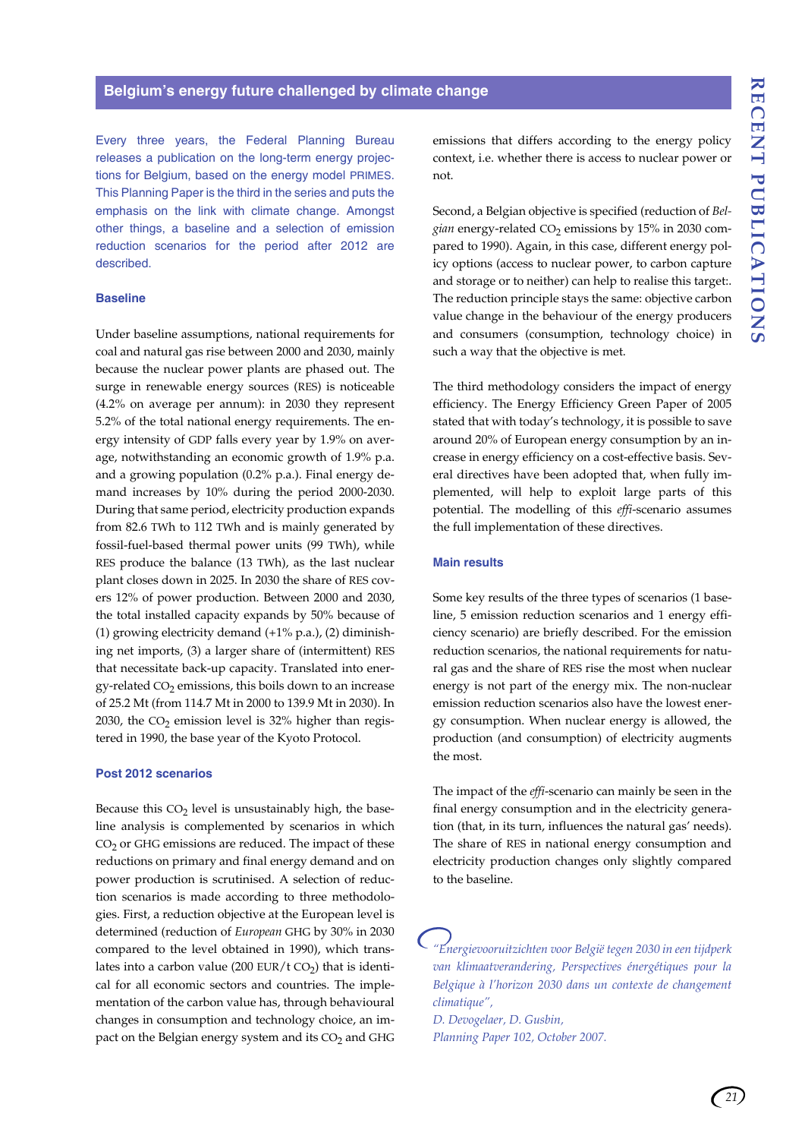Every three years, the Federal Planning Bureau releases a publication on the long-term energy projections for Belgium, based on the energy model PRIMES. This Planning Paper is the third in the series and puts the emphasis on the link with climate change. Amongst other things, a baseline and a selection of emission reduction scenarios for the period after 2012 are described.

#### **Baseline**

Under baseline assumptions, national requirements for coal and natural gas rise between 2000 and 2030, mainly because the nuclear power plants are phased out. The surge in renewable energy sources (RES) is noticeable (4.2% on average per annum): in 2030 they represent 5.2% of the total national energy requirements. The energy intensity of GDP falls every year by 1.9% on average, notwithstanding an economic growth of 1.9% p.a. and a growing population (0.2% p.a.). Final energy demand increases by 10% during the period 2000-2030. During that same period, electricity production expands from 82.6 TWh to 112 TWh and is mainly generated by fossil-fuel-based thermal power units (99 TWh), while RES produce the balance (13 TWh), as the last nuclear plant closes down in 2025. In 2030 the share of RES covers 12% of power production. Between 2000 and 2030, the total installed capacity expands by 50% because of (1) growing electricity demand (+1% p.a.), (2) diminishing net imports, (3) a larger share of (intermittent) RES that necessitate back-up capacity. Translated into energy-related  $CO<sub>2</sub>$  emissions, this boils down to an increase of 25.2 Mt (from 114.7 Mt in 2000 to 139.9 Mt in 2030). In 2030, the  $CO<sub>2</sub>$  emission level is 32% higher than registered in 1990, the base year of the Kyoto Protocol.

#### **Post 2012 scenarios**

Because this  $CO<sub>2</sub>$  level is unsustainably high, the baseline analysis is complemented by scenarios in which  $CO<sub>2</sub>$  or GHG emissions are reduced. The impact of these reductions on primary and final energy demand and on power production is scrutinised. A selection of reduction scenarios is made according to three methodologies. First, a reduction objective at the European level is determined (reduction of *European* GHG by 30% in 2030 compared to the level obtained in 1990), which translates into a carbon value (200 EUR/t CO<sub>2</sub>) that is identical for all economic sectors and countries. The implementation of the carbon value has, through behavioural changes in consumption and technology choice, an impact on the Belgian energy system and its  $CO<sub>2</sub>$  and GHG

emissions that differs according to the energy policy context, i.e. whether there is access to nuclear power or not.

Second, a Belgian objective is specified (reduction of *Belgian* energy-related CO<sub>2</sub> emissions by 15% in 2030 compared to 1990). Again, in this case, different energy policy options (access to nuclear power, to carbon capture and storage or to neither) can help to realise this target:. The reduction principle stays the same: objective carbon value change in the behaviour of the energy producers and consumers (consumption, technology choice) in such a way that the objective is met.

The third methodology considers the impact of energy efficiency. The Energy Efficiency Green Paper of 2005 stated that with today's technology, it is possible to save around 20% of European energy consumption by an increase in energy efficiency on a cost-effective basis. Several directives have been adopted that, when fully implemented, will help to exploit large parts of this potential. The modelling of this *effi*-scenario assumes the full implementation of these directives.

# **Main results**

Some key results of the three types of scenarios (1 baseline, 5 emission reduction scenarios and 1 energy efficiency scenario) are briefly described. For the emission reduction scenarios, the national requirements for natural gas and the share of RES rise the most when nuclear energy is not part of the energy mix. The non-nuclear emission reduction scenarios also have the lowest energy consumption. When nuclear energy is allowed, the production (and consumption) of electricity augments the most.

The impact of the *effi*-scenario can mainly be seen in the final energy consumption and in the electricity generation (that, in its turn, influences the natural gas' needs). The share of RES in national energy consumption and electricity production changes only slightly compared to the baseline.

*"Energievooruitzichten voor België tegen 2030 in een tijdperk van klimaatverandering, Perspectives énergétiques pour la Belgique à l'horizon 2030 dans un contexte de changement climatique",*

*D. Devogelaer, D. Gusbin, Planning Paper 102, October 2007.*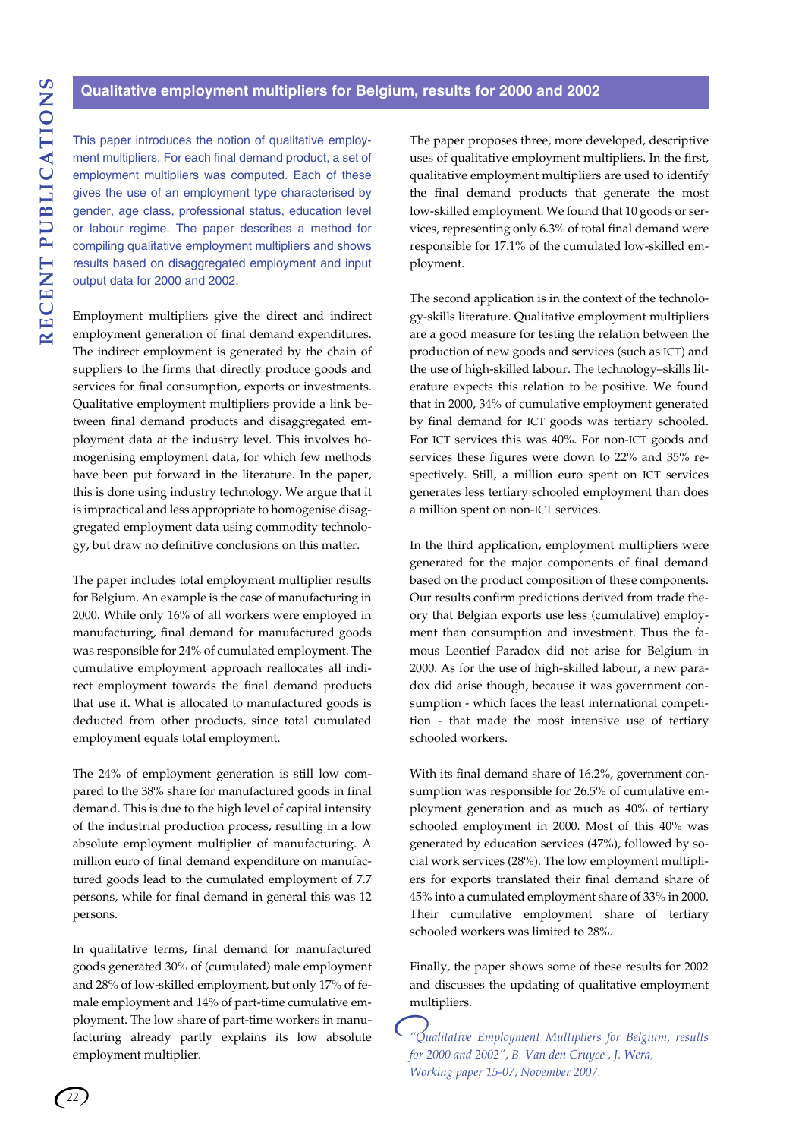# **Qualitative employment multipliers for Belgium, results for 2000 and 2002**

This paper introduces the notion of qualitative employment multipliers. For each final demand product, a set of employment multipliers was computed. Each of these gives the use of an employment type characterised by gender, age class, professional status, education level or labour regime. The paper describes a method for compiling qualitative employment multipliers and shows results based on disaggregated employment and input output data for 2000 and 2002.

Employment multipliers give the direct and indirect employment generation of final demand expenditures. The indirect employment is generated by the chain of suppliers to the firms that directly produce goods and services for final consumption, exports or investments. Qualitative employment multipliers provide a link between final demand products and disaggregated employment data at the industry level. This involves homogenising employment data, for which few methods have been put forward in the literature. In the paper, this is done using industry technology. We argue that it is impractical and less appropriate to homogenise disaggregated employment data using commodity technology, but draw no definitive conclusions on this matter.

The paper includes total employment multiplier results for Belgium. An example is the case of manufacturing in 2000. While only 16% of all workers were employed in manufacturing, final demand for manufactured goods was responsible for 24% of cumulated employment. The cumulative employment approach reallocates all indirect employment towards the final demand products that use it. What is allocated to manufactured goods is deducted from other products, since total cumulated employment equals total employment.

The 24% of employment generation is still low compared to the 38% share for manufactured goods in final demand. This is due to the high level of capital intensity of the industrial production process, resulting in a low absolute employment multiplier of manufacturing. A million euro of final demand expenditure on manufactured goods lead to the cumulated employment of 7.7 persons, while for final demand in general this was 12 persons.

In qualitative terms, final demand for manufactured goods generated 30% of (cumulated) male employment and 28% of low-skilled employment, but only 17% of female employment and 14% of part-time cumulative employment. The low share of part-time workers in manufacturing already partly explains its low absolute employment multiplier.

The paper proposes three, more developed, descriptive uses of qualitative employment multipliers. In the first, qualitative employment multipliers are used to identify the final demand products that generate the most low-skilled employment. We found that 10 goods or services, representing only 6.3% of total final demand were responsible for 17.1% of the cumulated low-skilled employment.

The second application is in the context of the technology-skills literature. Qualitative employment multipliers are a good measure for testing the relation between the production of new goods and services (such as ICT) and the use of high-skilled labour. The technology–skills literature expects this relation to be positive. We found that in 2000, 34% of cumulative employment generated by final demand for ICT goods was tertiary schooled. For ICT services this was 40%. For non-ICT goods and services these figures were down to 22% and 35% respectively. Still, a million euro spent on ICT services generates less tertiary schooled employment than does a million spent on non-ICT services.

In the third application, employment multipliers were generated for the major components of final demand based on the product composition of these components. Our results confirm predictions derived from trade theory that Belgian exports use less (cumulative) employment than consumption and investment. Thus the famous Leontief Paradox did not arise for Belgium in 2000. As for the use of high-skilled labour, a new paradox did arise though, because it was government consumption - which faces the least international competition - that made the most intensive use of tertiary schooled workers.

With its final demand share of 16.2%, government consumption was responsible for 26.5% of cumulative employment generation and as much as 40% of tertiary schooled employment in 2000. Most of this 40% was generated by education services (47%), followed by social work services (28%). The low employment multipliers for exports translated their final demand share of 45% into a cumulated employment share of 33% in 2000. Their cumulative employment share of tertiary schooled workers was limited to 28%.

Finally, the paper shows some of these results for 2002 and discusses the updating of qualitative employment multipliers.

*"Qualitative Employment Multipliers for Belgium, results for 2000 and 2002", B. Van den Cruyce , J. Wera, Working paper 15-07, November 2007.*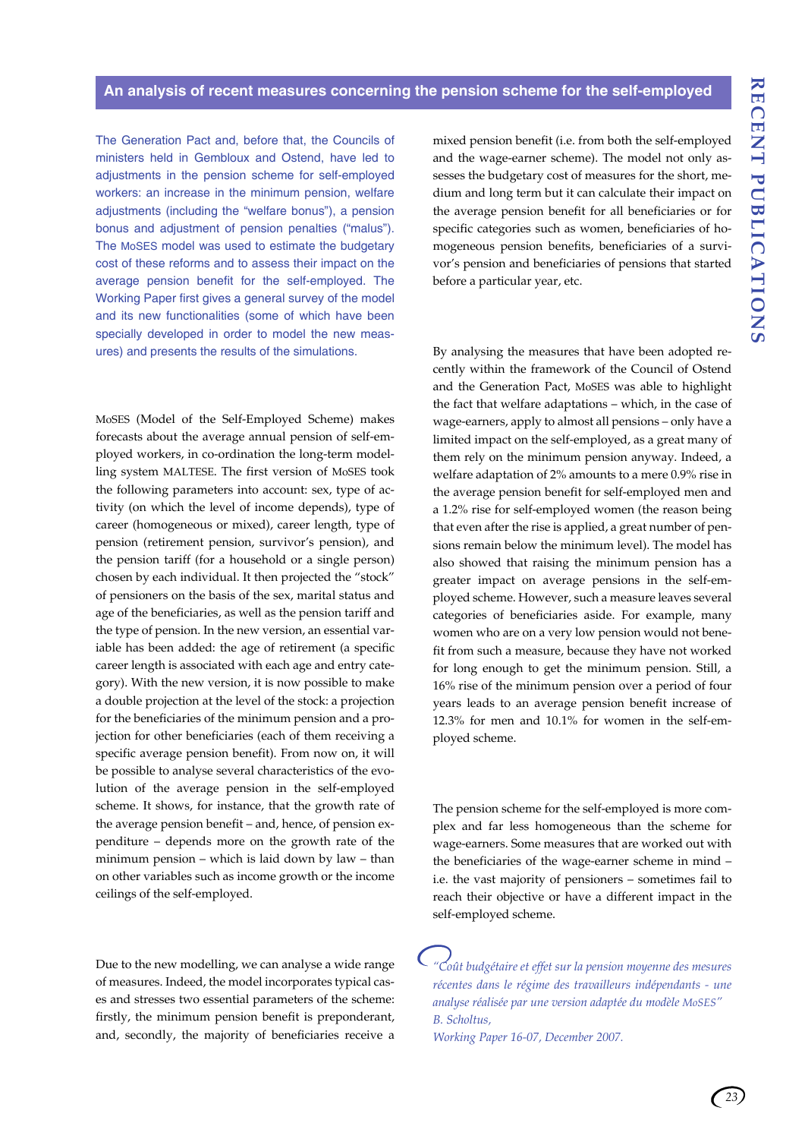# **An analysis of recent measures concerning the pension scheme for the self-employed**

The Generation Pact and, before that, the Councils of ministers held in Gembloux and Ostend, have led to adjustments in the pension scheme for self-employed workers: an increase in the minimum pension, welfare adjustments (including the "welfare bonus"), a pension bonus and adjustment of pension penalties ("malus"). The MoSES model was used to estimate the budgetary cost of these reforms and to assess their impact on the average pension benefit for the self-employed. The Working Paper first gives a general survey of the model and its new functionalities (some of which have been specially developed in order to model the new measures) and presents the results of the simulations.

MoSES (Model of the Self-Employed Scheme) makes forecasts about the average annual pension of self-employed workers, in co-ordination the long-term modelling system MALTESE. The first version of MoSES took the following parameters into account: sex, type of activity (on which the level of income depends), type of career (homogeneous or mixed), career length, type of pension (retirement pension, survivor's pension), and the pension tariff (for a household or a single person) chosen by each individual. It then projected the "stock" of pensioners on the basis of the sex, marital status and age of the beneficiaries, as well as the pension tariff and the type of pension. In the new version, an essential variable has been added: the age of retirement (a specific career length is associated with each age and entry category). With the new version, it is now possible to make a double projection at the level of the stock: a projection for the beneficiaries of the minimum pension and a projection for other beneficiaries (each of them receiving a specific average pension benefit). From now on, it will be possible to analyse several characteristics of the evolution of the average pension in the self-employed scheme. It shows, for instance, that the growth rate of the average pension benefit – and, hence, of pension expenditure – depends more on the growth rate of the minimum pension – which is laid down by law – than on other variables such as income growth or the income ceilings of the self-employed.

Due to the new modelling, we can analyse a wide range of measures. Indeed, the model incorporates typical cases and stresses two essential parameters of the scheme: firstly, the minimum pension benefit is preponderant, and, secondly, the majority of beneficiaries receive a mixed pension benefit (i.e. from both the self-employed and the wage-earner scheme). The model not only assesses the budgetary cost of measures for the short, medium and long term but it can calculate their impact on the average pension benefit for all beneficiaries or for specific categories such as women, beneficiaries of homogeneous pension benefits, beneficiaries of a survivor's pension and beneficiaries of pensions that started before a particular year, etc.

By analysing the measures that have been adopted recently within the framework of the Council of Ostend and the Generation Pact, MoSES was able to highlight the fact that welfare adaptations – which, in the case of wage-earners, apply to almost all pensions – only have a limited impact on the self-employed, as a great many of them rely on the minimum pension anyway. Indeed, a welfare adaptation of 2% amounts to a mere 0.9% rise in the average pension benefit for self-employed men and a 1.2% rise for self-employed women (the reason being that even after the rise is applied, a great number of pensions remain below the minimum level). The model has also showed that raising the minimum pension has a greater impact on average pensions in the self-employed scheme. However, such a measure leaves several categories of beneficiaries aside. For example, many women who are on a very low pension would not benefit from such a measure, because they have not worked for long enough to get the minimum pension. Still, a 16% rise of the minimum pension over a period of four years leads to an average pension benefit increase of 12.3% for men and 10.1% for women in the self-employed scheme.

The pension scheme for the self-employed is more complex and far less homogeneous than the scheme for wage-earners. Some measures that are worked out with the beneficiaries of the wage-earner scheme in mind – i.e. the vast majority of pensioners – sometimes fail to reach their objective or have a different impact in the self-employed scheme.

*"Coût budgétaire et effet sur la pension moyenne des mesures récentes dans le régime des travailleurs indépendants - une analyse réalisée par une version adaptée du modèle MoSES" B. Scholtus,* 

*Working Paper 16-07, December 2007.*